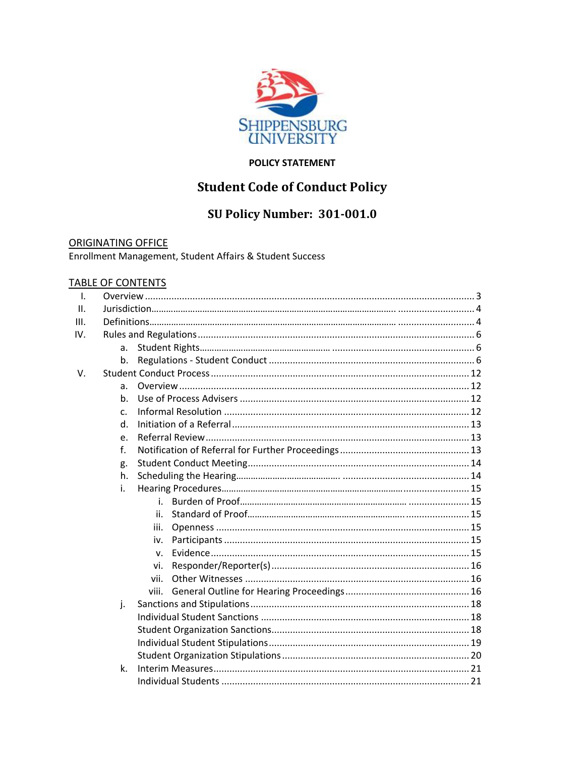

# **POLICY STATEMENT**

# **Student Code of Conduct Policy**

# SU Policy Number: 301-001.0

**ORIGINATING OFFICE** Enrollment Management, Student Affairs & Student Success

# **TABLE OF CONTENTS**

| $\mathbf{I}$ . |    |              |  |  |
|----------------|----|--------------|--|--|
| Ш.             |    |              |  |  |
| III.           |    |              |  |  |
| IV.            |    |              |  |  |
|                | a. |              |  |  |
|                | b. |              |  |  |
| V.             |    |              |  |  |
|                | a. |              |  |  |
|                | b. |              |  |  |
|                | C. |              |  |  |
|                | d. |              |  |  |
|                | e. |              |  |  |
|                | f. |              |  |  |
|                | g. |              |  |  |
|                | h. |              |  |  |
|                | i. |              |  |  |
|                |    | i.           |  |  |
|                |    | ii.          |  |  |
|                |    | iii.         |  |  |
|                |    | İV.          |  |  |
|                |    | $\mathbf{V}$ |  |  |
|                |    | vi.          |  |  |
|                |    | vii.         |  |  |
|                |    | viii.        |  |  |
|                | j. |              |  |  |
|                |    |              |  |  |
|                |    |              |  |  |
|                |    |              |  |  |
|                |    |              |  |  |
|                | k. |              |  |  |
|                |    |              |  |  |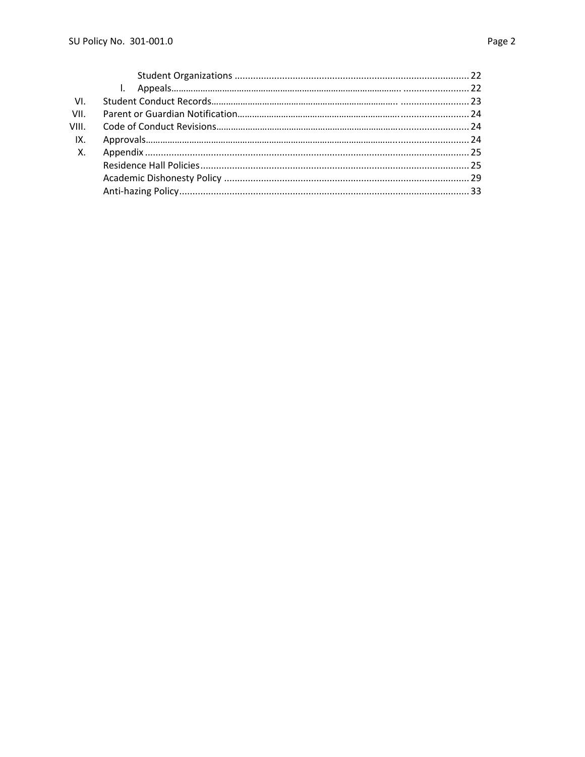| VI.         |  |  |
|-------------|--|--|
| VII.        |  |  |
|             |  |  |
| IX.         |  |  |
| $X_{\cdot}$ |  |  |
|             |  |  |
|             |  |  |
|             |  |  |
|             |  |  |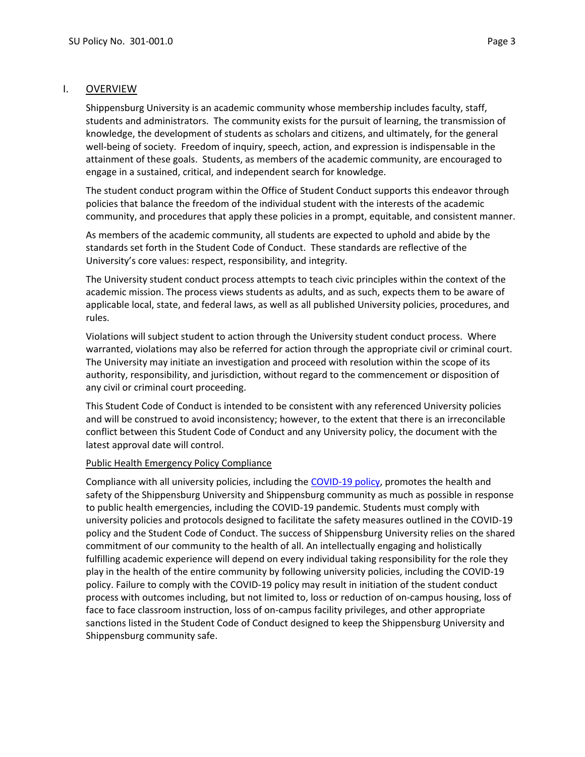### I. OVERVIEW

Shippensburg University is an academic community whose membership includes faculty, staff, students and administrators. The community exists for the pursuit of learning, the transmission of knowledge, the development of students as scholars and citizens, and ultimately, for the general well-being of society. Freedom of inquiry, speech, action, and expression is indispensable in the attainment of these goals. Students, as members of the academic community, are encouraged to engage in a sustained, critical, and independent search for knowledge.

The student conduct program within the Office of Student Conduct supports this endeavor through policies that balance the freedom of the individual student with the interests of the academic community, and procedures that apply these policies in a prompt, equitable, and consistent manner.

As members of the academic community, all students are expected to uphold and abide by the standards set forth in the Student Code of Conduct. These standards are reflective of the University's core values: respect, responsibility, and integrity.

The University student conduct process attempts to teach civic principles within the context of the academic mission. The process views students as adults, and as such, expects them to be aware of applicable local, state, and federal laws, as well as all published University policies, procedures, and rules.

Violations will subject student to action through the University student conduct process. Where warranted, violations may also be referred for action through the appropriate civil or criminal court. The University may initiate an investigation and proceed with resolution within the scope of its authority, responsibility, and jurisdiction, without regard to the commencement or disposition of any civil or criminal court proceeding.

This Student Code of Conduct is intended to be consistent with any referenced University policies and will be construed to avoid inconsistency; however, to the extent that there is an irreconcilable conflict between this Student Code of Conduct and any University policy, the document with the latest approval date will control.

# Public Health Emergency Policy Compliance

Compliance with all university policies, including th[e COVID-19 policy,](http://www.ship.edu/globalassets/administration-finance/covid_19_recovery_and_risk_mitigation_enforcement_policy.pdf) promotes the health and safety of the Shippensburg University and Shippensburg community as much as possible in response to public health emergencies, including the COVID-19 pandemic. Students must comply with university policies and protocols designed to facilitate the safety measures outlined in the COVID-19 policy and the Student Code of Conduct. The success of Shippensburg University relies on the shared commitment of our community to the health of all. An intellectually engaging and holistically fulfilling academic experience will depend on every individual taking responsibility for the role they play in the health of the entire community by following university policies, including the COVID-19 policy. Failure to comply with the COVID-19 policy may result in initiation of the student conduct process with outcomes including, but not limited to, loss or reduction of on-campus housing, loss of face to face classroom instruction, loss of on-campus facility privileges, and other appropriate sanctions listed in the Student Code of Conduct designed to keep the Shippensburg University and Shippensburg community safe.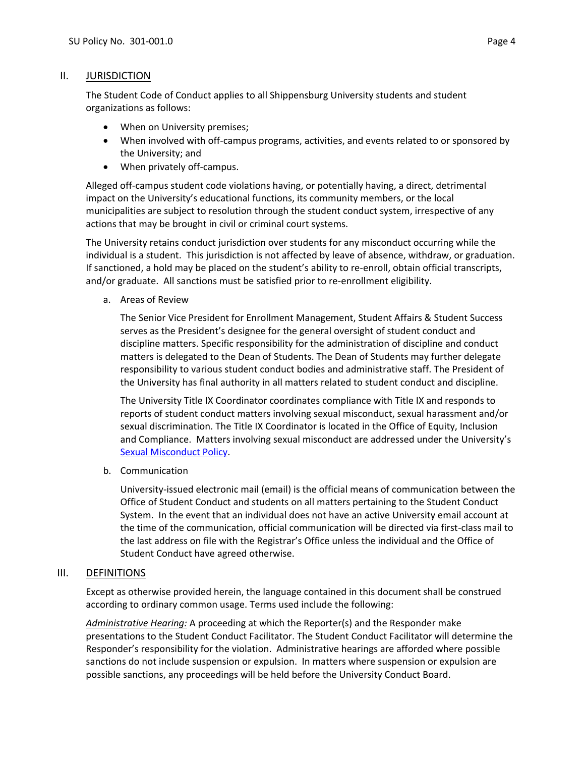# II. JURISDICTION

The Student Code of Conduct applies to all Shippensburg University students and student organizations as follows:

- When on University premises;
- When involved with off-campus programs, activities, and events related to or sponsored by the University; and
- When privately off-campus.

Alleged off-campus student code violations having, or potentially having, a direct, detrimental impact on the University's educational functions, its community members, or the local municipalities are subject to resolution through the student conduct system, irrespective of any actions that may be brought in civil or criminal court systems.

The University retains conduct jurisdiction over students for any misconduct occurring while the individual is a student. This jurisdiction is not affected by leave of absence, withdraw, or graduation. If sanctioned, a hold may be placed on the student's ability to re-enroll, obtain official transcripts, and/or graduate. All sanctions must be satisfied prior to re-enrollment eligibility.

a. Areas of Review

The Senior Vice President for Enrollment Management, Student Affairs & Student Success serves as the President's designee for the general oversight of student conduct and discipline matters. Specific responsibility for the administration of discipline and conduct matters is delegated to the Dean of Students. The Dean of Students may further delegate responsibility to various student conduct bodies and administrative staff. The President of the University has final authority in all matters related to student conduct and discipline.

The University Title IX Coordinator coordinates compliance with Title IX and responds to reports of student conduct matters involving sexual misconduct, sexual harassment and/or sexual discrimination. The Title IX Coordinator is located in the Office of Equity, Inclusion and Compliance. Matters involving sexual misconduct are addressed under the University's [Sexual Misconduct Policy.](http://www.ship.edu/globalassets/dean-of-students/student_conduct/sexual_misconduct_policy_ship_8.2020.pdf)

b. Communication

University-issued electronic mail (email) is the official means of communication between the Office of Student Conduct and students on all matters pertaining to the Student Conduct System. In the event that an individual does not have an active University email account at the time of the communication, official communication will be directed via first-class mail to the last address on file with the Registrar's Office unless the individual and the Office of Student Conduct have agreed otherwise.

# III. DEFINITIONS

Except as otherwise provided herein, the language contained in this document shall be construed according to ordinary common usage. Terms used include the following:

*Administrative Hearing:* A proceeding at which the Reporter(s) and the Responder make presentations to the Student Conduct Facilitator. The Student Conduct Facilitator will determine the Responder's responsibility for the violation. Administrative hearings are afforded where possible sanctions do not include suspension or expulsion. In matters where suspension or expulsion are possible sanctions, any proceedings will be held before the University Conduct Board.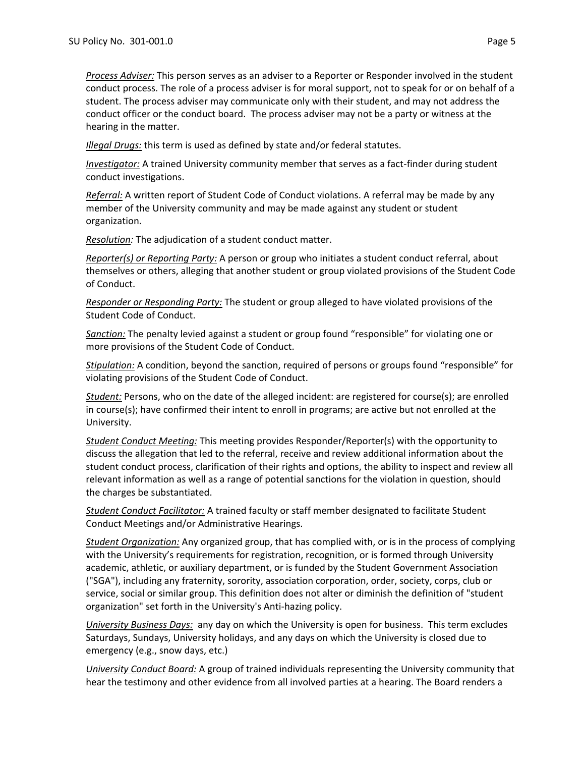*Process Adviser:* This person serves as an adviser to a Reporter or Responder involved in the student conduct process. The role of a process adviser is for moral support, not to speak for or on behalf of a student. The process adviser may communicate only with their student, and may not address the conduct officer or the conduct board. The process adviser may not be a party or witness at the hearing in the matter.

*Illegal Drugs:* this term is used as defined by state and/or federal statutes.

*Investigator:* A trained University community member that serves as a fact-finder during student conduct investigations.

*Referral:* A written report of Student Code of Conduct violations. A referral may be made by any member of the University community and may be made against any student or student organization.

*Resolution:* The adjudication of a student conduct matter.

*Reporter(s) or Reporting Party:* A person or group who initiates a student conduct referral, about themselves or others, alleging that another student or group violated provisions of the Student Code of Conduct.

*Responder or Responding Party:* The student or group alleged to have violated provisions of the Student Code of Conduct.

*Sanction:* The penalty levied against a student or group found "responsible" for violating one or more provisions of the Student Code of Conduct.

*Stipulation:* A condition, beyond the sanction, required of persons or groups found "responsible" for violating provisions of the Student Code of Conduct.

*Student:* Persons, who on the date of the alleged incident: are registered for course(s); are enrolled in course(s); have confirmed their intent to enroll in programs; are active but not enrolled at the University.

*Student Conduct Meeting:* This meeting provides Responder/Reporter(s) with the opportunity to discuss the allegation that led to the referral, receive and review additional information about the student conduct process, clarification of their rights and options, the ability to inspect and review all relevant information as well as a range of potential sanctions for the violation in question, should the charges be substantiated.

*Student Conduct Facilitator:* A trained faculty or staff member designated to facilitate Student Conduct Meetings and/or Administrative Hearings.

*Student Organization:* Any organized group, that has complied with, or is in the process of complying with the University's requirements for registration, recognition, or is formed through University academic, athletic, or auxiliary department, or is funded by the Student Government Association ("SGA"), including any fraternity, sorority, association corporation, order, society, corps, club or service, social or similar group. This definition does not alter or diminish the definition of "student organization" set forth in the University's Anti-hazing policy.

*University Business Days:* any day on which the University is open for business. This term excludes Saturdays, Sundays, University holidays, and any days on which the University is closed due to emergency (e.g., snow days, etc.)

*University Conduct Board:* A group of trained individuals representing the University community that hear the testimony and other evidence from all involved parties at a hearing. The Board renders a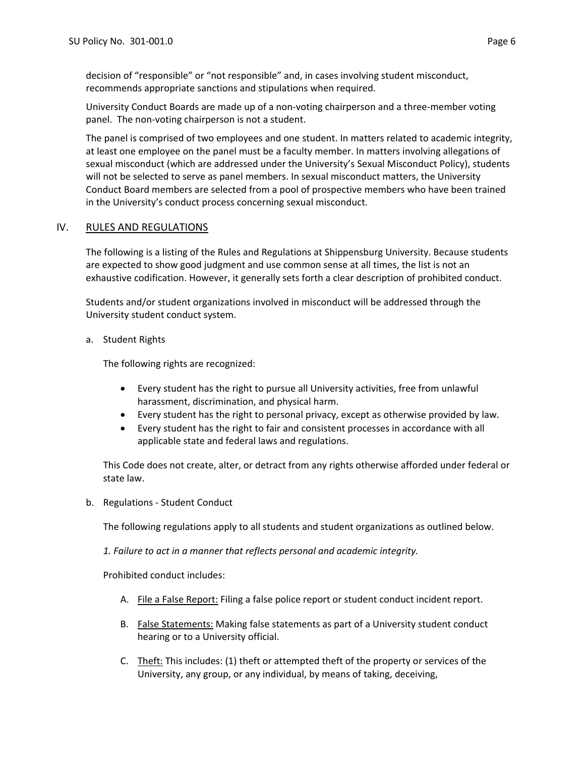decision of "responsible" or "not responsible" and, in cases involving student misconduct, recommends appropriate sanctions and stipulations when required.

University Conduct Boards are made up of a non-voting chairperson and a three-member voting panel. The non-voting chairperson is not a student.

The panel is comprised of two employees and one student. In matters related to academic integrity, at least one employee on the panel must be a faculty member. In matters involving allegations of sexual misconduct (which are addressed under the University's Sexual Misconduct Policy), students will not be selected to serve as panel members. In sexual misconduct matters, the University Conduct Board members are selected from a pool of prospective members who have been trained in the University's conduct process concerning sexual misconduct.

# IV. RULES AND REGULATIONS

The following is a listing of the Rules and Regulations at Shippensburg University. Because students are expected to show good judgment and use common sense at all times, the list is not an exhaustive codification. However, it generally sets forth a clear description of prohibited conduct.

Students and/or student organizations involved in misconduct will be addressed through the University student conduct system.

a. Student Rights

The following rights are recognized:

- Every student has the right to pursue all University activities, free from unlawful harassment, discrimination, and physical harm.
- Every student has the right to personal privacy, except as otherwise provided by law.
- Every student has the right to fair and consistent processes in accordance with all applicable state and federal laws and regulations.

This Code does not create, alter, or detract from any rights otherwise afforded under federal or state law.

b. Regulations - Student Conduct

The following regulations apply to all students and student organizations as outlined below.

*1. Failure to act in a manner that reflects personal and academic integrity.*

Prohibited conduct includes:

- A. File a False Report: Filing a false police report or student conduct incident report.
- B. False Statements: Making false statements as part of a University student conduct hearing or to a University official.
- C. Theft: This includes: (1) theft or attempted theft of the property or services of the University, any group, or any individual, by means of taking, deceiving,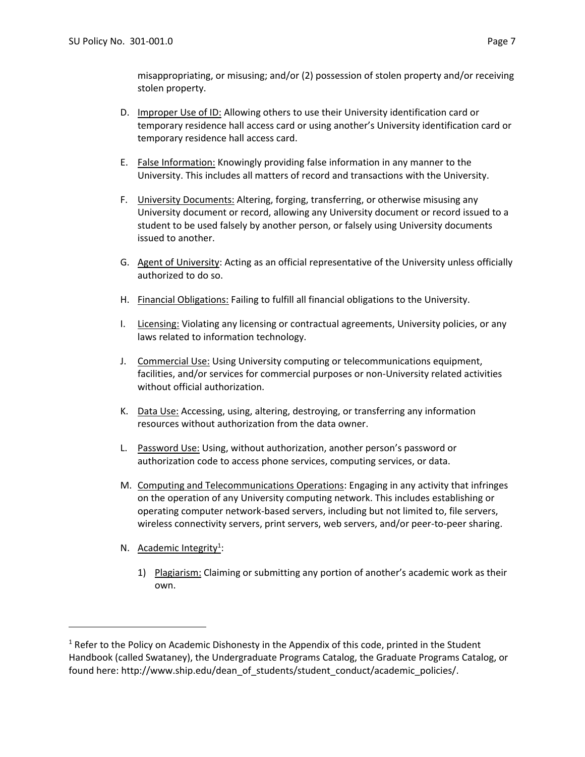misappropriating, or misusing; and/or (2) possession of stolen property and/or receiving stolen property.

- D. Improper Use of ID: Allowing others to use their University identification card or temporary residence hall access card or using another's University identification card or temporary residence hall access card.
- E. False Information: Knowingly providing false information in any manner to the University. This includes all matters of record and transactions with the University.
- F. University Documents: Altering, forging, transferring, or otherwise misusing any University document or record, allowing any University document or record issued to a student to be used falsely by another person, or falsely using University documents issued to another.
- G. Agent of University: Acting as an official representative of the University unless officially authorized to do so.
- H. Financial Obligations: Failing to fulfill all financial obligations to the University.
- I. Licensing: Violating any licensing or contractual agreements, University policies, or any laws related to information technology.
- J. Commercial Use: Using University computing or telecommunications equipment, facilities, and/or services for commercial purposes or non-University related activities without official authorization.
- K. Data Use: Accessing, using, altering, destroying, or transferring any information resources without authorization from the data owner.
- L. Password Use: Using, without authorization, another person's password or authorization code to access phone services, computing services, or data.
- M. Computing and Telecommunications Operations: Engaging in any activity that infringes on the operation of any University computing network. This includes establishing or operating computer network-based servers, including but not limited to, file servers, wireless connectivity servers, print servers, web servers, and/or peer-to-peer sharing.
- N. Academic Integrity<sup>1</sup>:

 $\overline{\phantom{a}}$ 

1) Plagiarism: Claiming or submitting any portion of another's academic work as their own.

<sup>&</sup>lt;sup>1</sup> Refer to the Policy on Academic Dishonesty in the Appendix of this code, printed in the Student Handbook (called Swataney), the Undergraduate Programs Catalog, the Graduate Programs Catalog, or found here: http://www.ship.edu/dean\_of\_students/student\_conduct/academic\_policies/.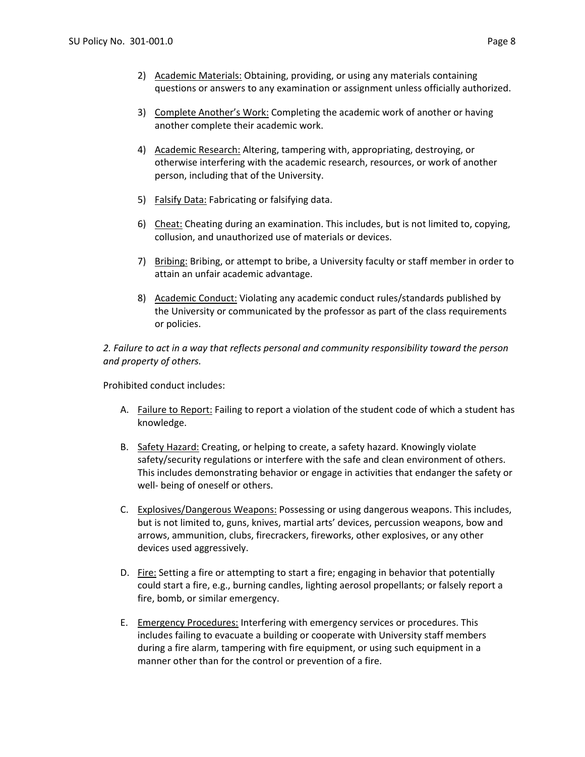- 2) Academic Materials: Obtaining, providing, or using any materials containing questions or answers to any examination or assignment unless officially authorized.
- 3) Complete Another's Work: Completing the academic work of another or having another complete their academic work.
- 4) Academic Research: Altering, tampering with, appropriating, destroying, or otherwise interfering with the academic research, resources, or work of another person, including that of the University.
- 5) Falsify Data: Fabricating or falsifying data.
- 6) Cheat: Cheating during an examination. This includes, but is not limited to, copying, collusion, and unauthorized use of materials or devices.
- 7) Bribing: Bribing, or attempt to bribe, a University faculty or staff member in order to attain an unfair academic advantage.
- 8) Academic Conduct: Violating any academic conduct rules/standards published by the University or communicated by the professor as part of the class requirements or policies.

*2. Failure to act in a way that reflects personal and community responsibility toward the person and property of others.*

Prohibited conduct includes:

- A. Failure to Report: Failing to report a violation of the student code of which a student has knowledge.
- B. Safety Hazard: Creating, or helping to create, a safety hazard. Knowingly violate safety/security regulations or interfere with the safe and clean environment of others. This includes demonstrating behavior or engage in activities that endanger the safety or well- being of oneself or others.
- C. Explosives/Dangerous Weapons: Possessing or using dangerous weapons. This includes, but is not limited to, guns, knives, martial arts' devices, percussion weapons, bow and arrows, ammunition, clubs, firecrackers, fireworks, other explosives, or any other devices used aggressively.
- D. Fire: Setting a fire or attempting to start a fire; engaging in behavior that potentially could start a fire, e.g., burning candles, lighting aerosol propellants; or falsely report a fire, bomb, or similar emergency.
- E. Emergency Procedures: Interfering with emergency services or procedures. This includes failing to evacuate a building or cooperate with University staff members during a fire alarm, tampering with fire equipment, or using such equipment in a manner other than for the control or prevention of a fire.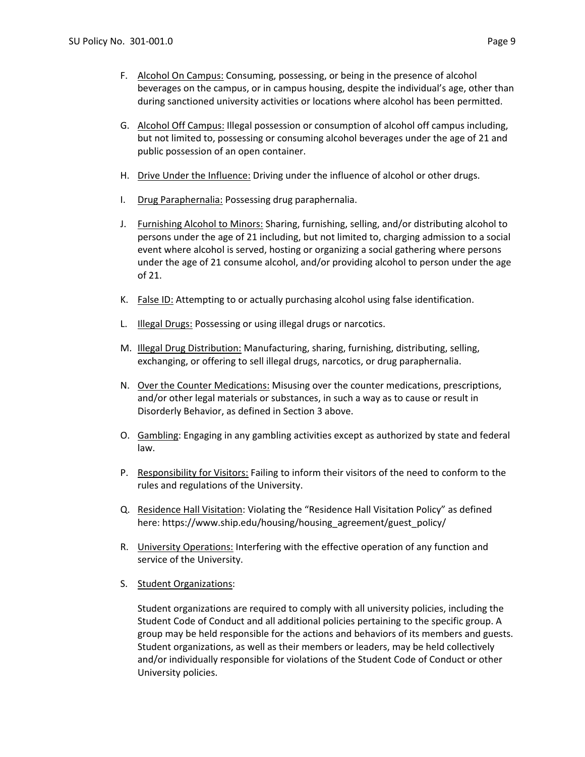- F. Alcohol On Campus: Consuming, possessing, or being in the presence of alcohol beverages on the campus, or in campus housing, despite the individual's age, other than during sanctioned university activities or locations where alcohol has been permitted.
- G. Alcohol Off Campus: Illegal possession or consumption of alcohol off campus including, but not limited to, possessing or consuming alcohol beverages under the age of 21 and public possession of an open container.
- H. Drive Under the Influence: Driving under the influence of alcohol or other drugs.
- I. Drug Paraphernalia: Possessing drug paraphernalia.
- J. Furnishing Alcohol to Minors: Sharing, furnishing, selling, and/or distributing alcohol to persons under the age of 21 including, but not limited to, charging admission to a social event where alcohol is served, hosting or organizing a social gathering where persons under the age of 21 consume alcohol, and/or providing alcohol to person under the age of 21.
- K. False ID: Attempting to or actually purchasing alcohol using false identification.
- L. **Illegal Drugs: Possessing or using illegal drugs or narcotics.**
- M. Illegal Drug Distribution: Manufacturing, sharing, furnishing, distributing, selling, exchanging, or offering to sell illegal drugs, narcotics, or drug paraphernalia.
- N. Over the Counter Medications: Misusing over the counter medications, prescriptions, and/or other legal materials or substances, in such a way as to cause or result in Disorderly Behavior, as defined in Section 3 above.
- O. Gambling: Engaging in any gambling activities except as authorized by state and federal law.
- P. Responsibility for Visitors: Failing to inform their visitors of the need to conform to the rules and regulations of the University.
- Q. Residence Hall Visitation: Violating the "Residence Hall Visitation Policy" as defined here: https://www.ship.edu/housing/housing\_agreement/guest\_policy/
- R. University Operations: Interfering with the effective operation of any function and service of the University.
- S. Student Organizations:

Student organizations are required to comply with all university policies, including the Student Code of Conduct and all additional policies pertaining to the specific group. A group may be held responsible for the actions and behaviors of its members and guests. Student organizations, as well as their members or leaders, may be held collectively and/or individually responsible for violations of the Student Code of Conduct or other University policies.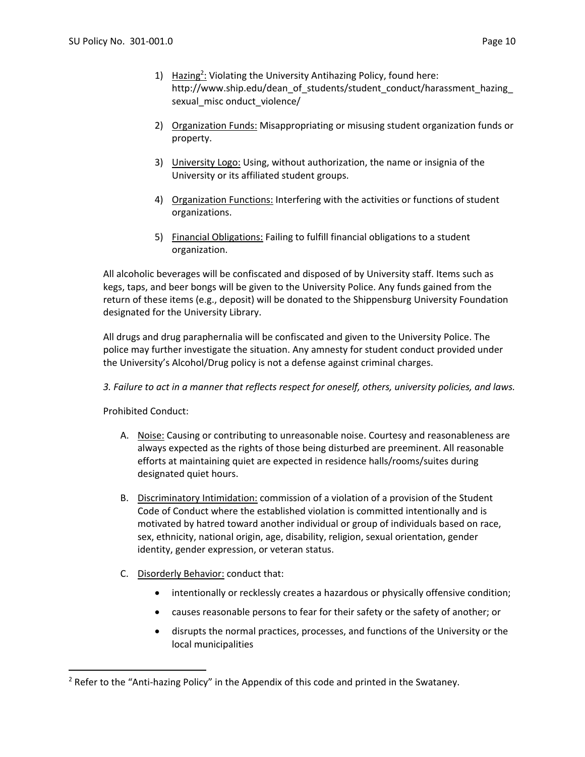- 1) Hazing<sup>2</sup>: Violating the University Antihazing Policy, found here: http://www.ship.edu/dean\_of\_students/student\_conduct/harassment\_hazing\_ sexual\_misc onduct\_violence/
- 2) Organization Funds: Misappropriating or misusing student organization funds or property.
- 3) University Logo: Using, without authorization, the name or insignia of the University or its affiliated student groups.
- 4) Organization Functions: Interfering with the activities or functions of student organizations.
- 5) Financial Obligations: Failing to fulfill financial obligations to a student organization.

All alcoholic beverages will be confiscated and disposed of by University staff. Items such as kegs, taps, and beer bongs will be given to the University Police. Any funds gained from the return of these items (e.g., deposit) will be donated to the Shippensburg University Foundation designated for the University Library.

All drugs and drug paraphernalia will be confiscated and given to the University Police. The police may further investigate the situation. Any amnesty for student conduct provided under the University's Alcohol/Drug policy is not a defense against criminal charges.

*3. Failure to act in a manner that reflects respect for oneself, others, university policies, and laws.* 

Prohibited Conduct:

 $\overline{\phantom{a}}$ 

- A. Noise: Causing or contributing to unreasonable noise. Courtesy and reasonableness are always expected as the rights of those being disturbed are preeminent. All reasonable efforts at maintaining quiet are expected in residence halls/rooms/suites during designated quiet hours.
- B. Discriminatory Intimidation: commission of a violation of a provision of the Student Code of Conduct where the established violation is committed intentionally and is motivated by hatred toward another individual or group of individuals based on race, sex, ethnicity, national origin, age, disability, religion, sexual orientation, gender identity, gender expression, or veteran status.
- C. Disorderly Behavior: conduct that:
	- intentionally or recklessly creates a hazardous or physically offensive condition;
	- causes reasonable persons to fear for their safety or the safety of another; or
	- disrupts the normal practices, processes, and functions of the University or the local municipalities

<sup>&</sup>lt;sup>2</sup> Refer to the "Anti-hazing Policy" in the Appendix of this code and printed in the Swataney.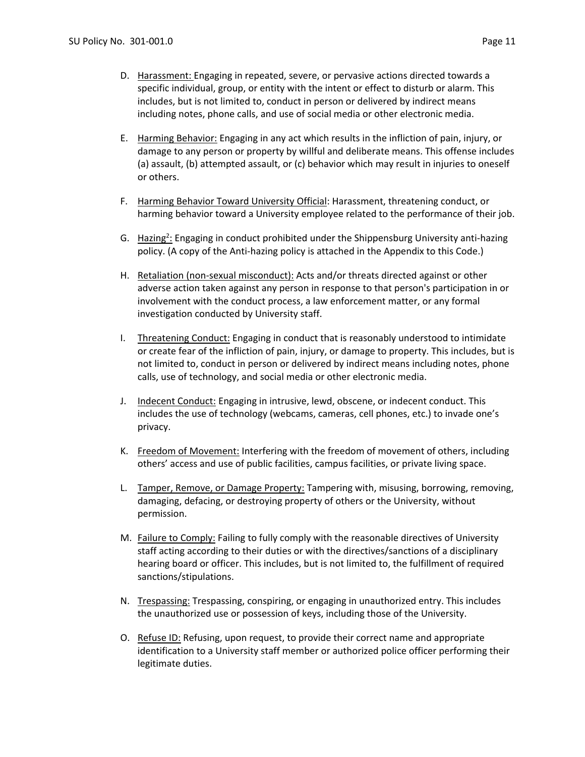- D. Harassment: Engaging in repeated, severe, or pervasive actions directed towards a specific individual, group, or entity with the intent or effect to disturb or alarm. This includes, but is not limited to, conduct in person or delivered by indirect means including notes, phone calls, and use of social media or other electronic media.
- E. Harming Behavior: Engaging in any act which results in the infliction of pain, injury, or damage to any person or property by willful and deliberate means. This offense includes (a) assault, (b) attempted assault, or (c) behavior which may result in injuries to oneself or others.
- F. Harming Behavior Toward University Official: Harassment, threatening conduct, or harming behavior toward a University employee related to the performance of their job.
- G. Hazing<sup>2</sup>: Engaging in conduct prohibited under the Shippensburg University anti-hazing policy. (A copy of the Anti-hazing policy is attached in the Appendix to this Code.)
- H. Retaliation (non-sexual misconduct): Acts and/or threats directed against or other adverse action taken against any person in response to that person's participation in or involvement with the conduct process, a law enforcement matter, or any formal investigation conducted by University staff.
- I. Threatening Conduct: Engaging in conduct that is reasonably understood to intimidate or create fear of the infliction of pain, injury, or damage to property. This includes, but is not limited to, conduct in person or delivered by indirect means including notes, phone calls, use of technology, and social media or other electronic media.
- J. Indecent Conduct: Engaging in intrusive, lewd, obscene, or indecent conduct. This includes the use of technology (webcams, cameras, cell phones, etc.) to invade one's privacy.
- K. Freedom of Movement: Interfering with the freedom of movement of others, including others' access and use of public facilities, campus facilities, or private living space.
- L. Tamper, Remove, or Damage Property: Tampering with, misusing, borrowing, removing, damaging, defacing, or destroying property of others or the University, without permission.
- M. Failure to Comply: Failing to fully comply with the reasonable directives of University staff acting according to their duties or with the directives/sanctions of a disciplinary hearing board or officer. This includes, but is not limited to, the fulfillment of required sanctions/stipulations.
- N. Trespassing: Trespassing, conspiring, or engaging in unauthorized entry. This includes the unauthorized use or possession of keys, including those of the University.
- O. Refuse ID: Refusing, upon request, to provide their correct name and appropriate identification to a University staff member or authorized police officer performing their legitimate duties.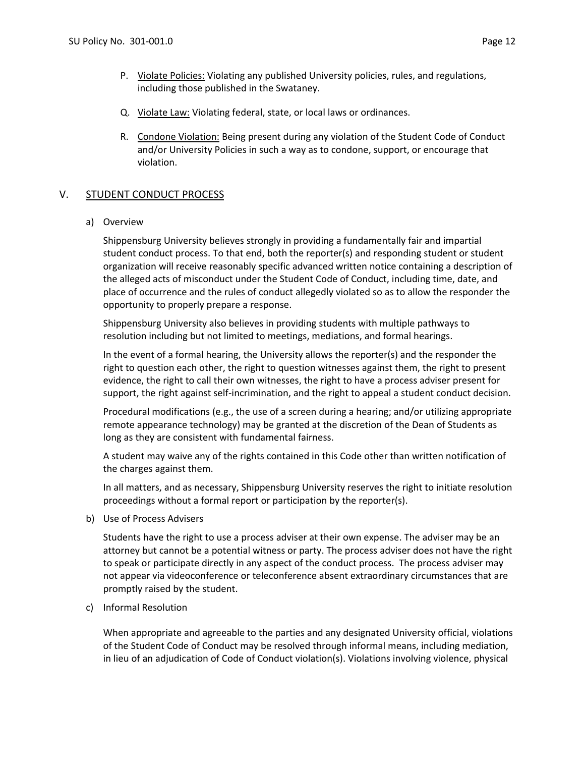- P. Violate Policies: Violating any published University policies, rules, and regulations, including those published in the Swataney.
- Q. Violate Law: Violating federal, state, or local laws or ordinances.
- R. Condone Violation: Being present during any violation of the Student Code of Conduct and/or University Policies in such a way as to condone, support, or encourage that violation.

# V. STUDENT CONDUCT PROCESS

a) Overview

Shippensburg University believes strongly in providing a fundamentally fair and impartial student conduct process. To that end, both the reporter(s) and responding student or student organization will receive reasonably specific advanced written notice containing a description of the alleged acts of misconduct under the Student Code of Conduct, including time, date, and place of occurrence and the rules of conduct allegedly violated so as to allow the responder the opportunity to properly prepare a response.

Shippensburg University also believes in providing students with multiple pathways to resolution including but not limited to meetings, mediations, and formal hearings.

In the event of a formal hearing, the University allows the reporter(s) and the responder the right to question each other, the right to question witnesses against them, the right to present evidence, the right to call their own witnesses, the right to have a process adviser present for support, the right against self-incrimination, and the right to appeal a student conduct decision.

Procedural modifications (e.g., the use of a screen during a hearing; and/or utilizing appropriate remote appearance technology) may be granted at the discretion of the Dean of Students as long as they are consistent with fundamental fairness.

A student may waive any of the rights contained in this Code other than written notification of the charges against them.

In all matters, and as necessary, Shippensburg University reserves the right to initiate resolution proceedings without a formal report or participation by the reporter(s).

b) Use of Process Advisers

Students have the right to use a process adviser at their own expense. The adviser may be an attorney but cannot be a potential witness or party. The process adviser does not have the right to speak or participate directly in any aspect of the conduct process. The process adviser may not appear via videoconference or teleconference absent extraordinary circumstances that are promptly raised by the student.

c) Informal Resolution

When appropriate and agreeable to the parties and any designated University official, violations of the Student Code of Conduct may be resolved through informal means, including mediation, in lieu of an adjudication of Code of Conduct violation(s). Violations involving violence, physical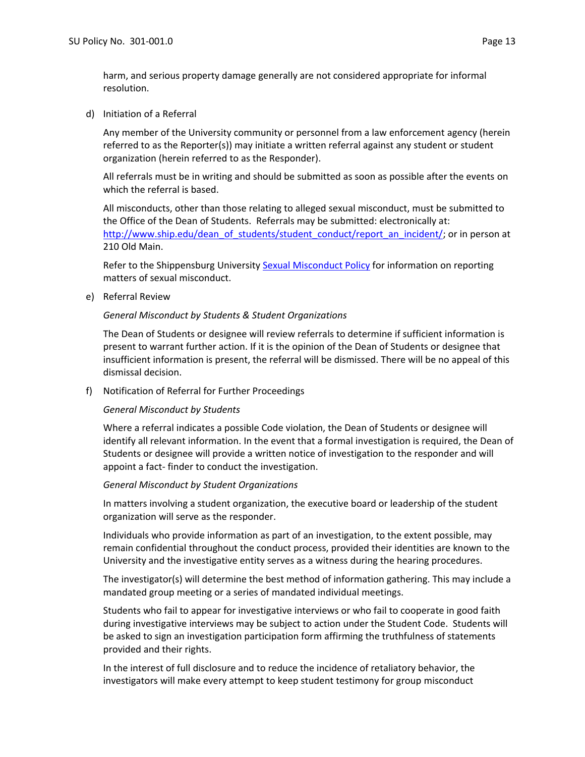harm, and serious property damage generally are not considered appropriate for informal resolution.

d) Initiation of a Referral

Any member of the University community or personnel from a law enforcement agency (herein referred to as the Reporter(s)) may initiate a written referral against any student or student organization (herein referred to as the Responder).

All referrals must be in writing and should be submitted as soon as possible after the events on which the referral is based.

All misconducts, other than those relating to alleged sexual misconduct, must be submitted to the Office of the Dean of Students. Referrals may be submitted: electronically at: [http://www.ship.edu/dean\\_of\\_students/student\\_conduct/report\\_an\\_incident/;](http://www.ship.edu/dean_of_students/student_conduct/report_an_incident/) or in person at 210 Old Main.

Refer to the Shippensburg University [Sexual Misconduct Policy](http://www.ship.edu/globalassets/dean-of-students/student_conduct/sexual_misconduct_policy_ship_8.2020.pdf) for information on reporting matters of sexual misconduct.

e) Referral Review

### *General Misconduct by Students & Student Organizations*

The Dean of Students or designee will review referrals to determine if sufficient information is present to warrant further action. If it is the opinion of the Dean of Students or designee that insufficient information is present, the referral will be dismissed. There will be no appeal of this dismissal decision.

f) Notification of Referral for Further Proceedings

#### *General Misconduct by Students*

Where a referral indicates a possible Code violation, the Dean of Students or designee will identify all relevant information. In the event that a formal investigation is required, the Dean of Students or designee will provide a written notice of investigation to the responder and will appoint a fact- finder to conduct the investigation.

#### *General Misconduct by Student Organizations*

In matters involving a student organization, the executive board or leadership of the student organization will serve as the responder.

Individuals who provide information as part of an investigation, to the extent possible, may remain confidential throughout the conduct process, provided their identities are known to the University and the investigative entity serves as a witness during the hearing procedures.

The investigator(s) will determine the best method of information gathering. This may include a mandated group meeting or a series of mandated individual meetings.

Students who fail to appear for investigative interviews or who fail to cooperate in good faith during investigative interviews may be subject to action under the Student Code. Students will be asked to sign an investigation participation form affirming the truthfulness of statements provided and their rights.

In the interest of full disclosure and to reduce the incidence of retaliatory behavior, the investigators will make every attempt to keep student testimony for group misconduct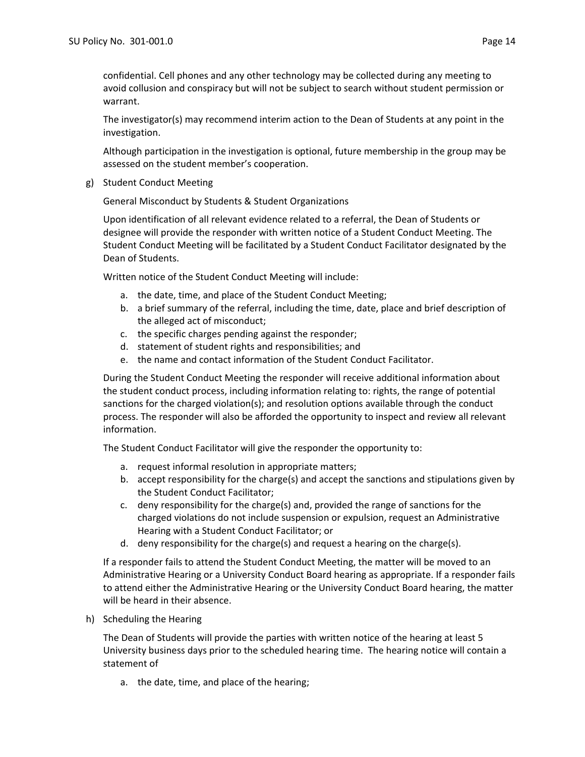confidential. Cell phones and any other technology may be collected during any meeting to avoid collusion and conspiracy but will not be subject to search without student permission or warrant.

The investigator(s) may recommend interim action to the Dean of Students at any point in the investigation.

Although participation in the investigation is optional, future membership in the group may be assessed on the student member's cooperation.

g) Student Conduct Meeting

General Misconduct by Students & Student Organizations

Upon identification of all relevant evidence related to a referral, the Dean of Students or designee will provide the responder with written notice of a Student Conduct Meeting. The Student Conduct Meeting will be facilitated by a Student Conduct Facilitator designated by the Dean of Students.

Written notice of the Student Conduct Meeting will include:

- a. the date, time, and place of the Student Conduct Meeting;
- b. a brief summary of the referral, including the time, date, place and brief description of the alleged act of misconduct;
- c. the specific charges pending against the responder;
- d. statement of student rights and responsibilities; and
- e. the name and contact information of the Student Conduct Facilitator.

During the Student Conduct Meeting the responder will receive additional information about the student conduct process, including information relating to: rights, the range of potential sanctions for the charged violation(s); and resolution options available through the conduct process. The responder will also be afforded the opportunity to inspect and review all relevant information.

The Student Conduct Facilitator will give the responder the opportunity to:

- a. request informal resolution in appropriate matters;
- b. accept responsibility for the charge(s) and accept the sanctions and stipulations given by the Student Conduct Facilitator;
- c. deny responsibility for the charge(s) and, provided the range of sanctions for the charged violations do not include suspension or expulsion, request an Administrative Hearing with a Student Conduct Facilitator; or
- d. deny responsibility for the charge(s) and request a hearing on the charge(s).

If a responder fails to attend the Student Conduct Meeting, the matter will be moved to an Administrative Hearing or a University Conduct Board hearing as appropriate. If a responder fails to attend either the Administrative Hearing or the University Conduct Board hearing, the matter will be heard in their absence.

h) Scheduling the Hearing

The Dean of Students will provide the parties with written notice of the hearing at least 5 University business days prior to the scheduled hearing time. The hearing notice will contain a statement of

a. the date, time, and place of the hearing;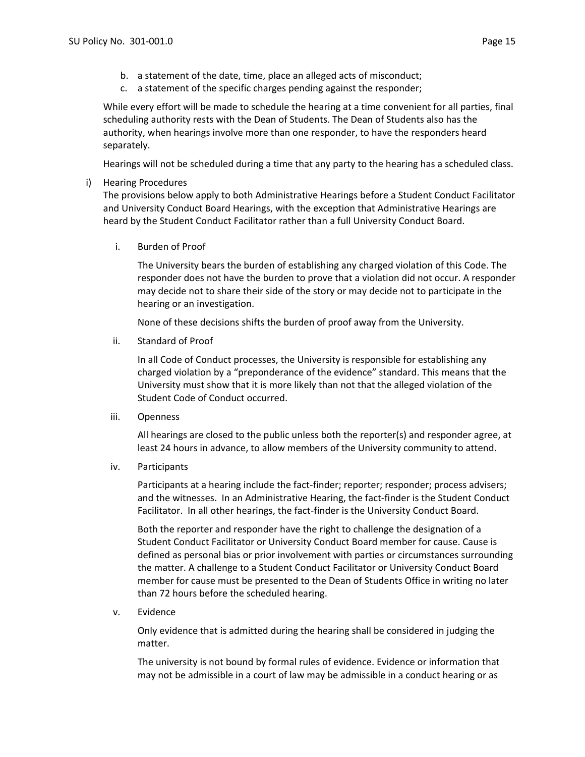- b. a statement of the date, time, place an alleged acts of misconduct;
- c. a statement of the specific charges pending against the responder;

While every effort will be made to schedule the hearing at a time convenient for all parties, final scheduling authority rests with the Dean of Students. The Dean of Students also has the authority, when hearings involve more than one responder, to have the responders heard separately.

Hearings will not be scheduled during a time that any party to the hearing has a scheduled class.

### i) Hearing Procedures

The provisions below apply to both Administrative Hearings before a Student Conduct Facilitator and University Conduct Board Hearings, with the exception that Administrative Hearings are heard by the Student Conduct Facilitator rather than a full University Conduct Board.

i. Burden of Proof

The University bears the burden of establishing any charged violation of this Code. The responder does not have the burden to prove that a violation did not occur. A responder may decide not to share their side of the story or may decide not to participate in the hearing or an investigation.

None of these decisions shifts the burden of proof away from the University.

ii. Standard of Proof

In all Code of Conduct processes, the University is responsible for establishing any charged violation by a "preponderance of the evidence" standard. This means that the University must show that it is more likely than not that the alleged violation of the Student Code of Conduct occurred.

iii. Openness

All hearings are closed to the public unless both the reporter(s) and responder agree, at least 24 hours in advance, to allow members of the University community to attend.

iv. Participants

Participants at a hearing include the fact-finder; reporter; responder; process advisers; and the witnesses. In an Administrative Hearing, the fact-finder is the Student Conduct Facilitator. In all other hearings, the fact-finder is the University Conduct Board.

Both the reporter and responder have the right to challenge the designation of a Student Conduct Facilitator or University Conduct Board member for cause. Cause is defined as personal bias or prior involvement with parties or circumstances surrounding the matter. A challenge to a Student Conduct Facilitator or University Conduct Board member for cause must be presented to the Dean of Students Office in writing no later than 72 hours before the scheduled hearing.

v. Evidence

Only evidence that is admitted during the hearing shall be considered in judging the matter.

The university is not bound by formal rules of evidence. Evidence or information that may not be admissible in a court of law may be admissible in a conduct hearing or as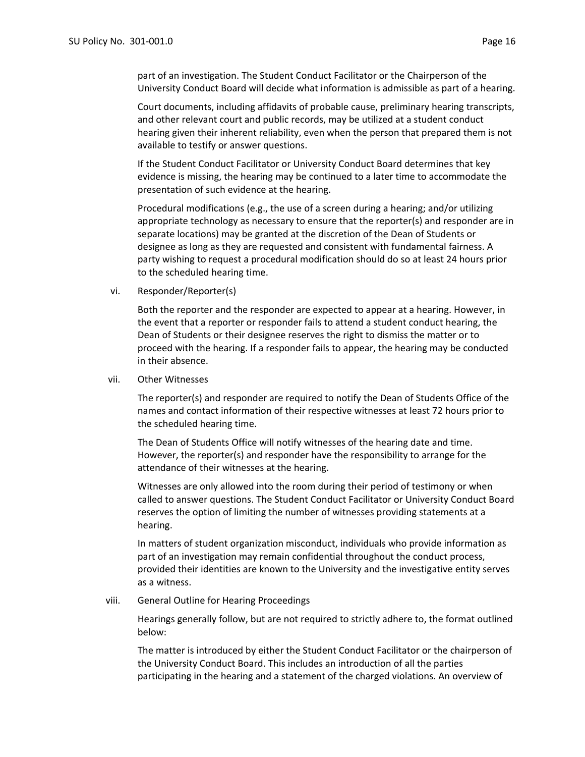part of an investigation. The Student Conduct Facilitator or the Chairperson of the University Conduct Board will decide what information is admissible as part of a hearing.

Court documents, including affidavits of probable cause, preliminary hearing transcripts, and other relevant court and public records, may be utilized at a student conduct hearing given their inherent reliability, even when the person that prepared them is not available to testify or answer questions.

If the Student Conduct Facilitator or University Conduct Board determines that key evidence is missing, the hearing may be continued to a later time to accommodate the presentation of such evidence at the hearing.

Procedural modifications (e.g., the use of a screen during a hearing; and/or utilizing appropriate technology as necessary to ensure that the reporter(s) and responder are in separate locations) may be granted at the discretion of the Dean of Students or designee as long as they are requested and consistent with fundamental fairness. A party wishing to request a procedural modification should do so at least 24 hours prior to the scheduled hearing time.

vi. Responder/Reporter(s)

Both the reporter and the responder are expected to appear at a hearing. However, in the event that a reporter or responder fails to attend a student conduct hearing, the Dean of Students or their designee reserves the right to dismiss the matter or to proceed with the hearing. If a responder fails to appear, the hearing may be conducted in their absence.

#### vii. Other Witnesses

The reporter(s) and responder are required to notify the Dean of Students Office of the names and contact information of their respective witnesses at least 72 hours prior to the scheduled hearing time.

The Dean of Students Office will notify witnesses of the hearing date and time. However, the reporter(s) and responder have the responsibility to arrange for the attendance of their witnesses at the hearing.

Witnesses are only allowed into the room during their period of testimony or when called to answer questions. The Student Conduct Facilitator or University Conduct Board reserves the option of limiting the number of witnesses providing statements at a hearing.

In matters of student organization misconduct, individuals who provide information as part of an investigation may remain confidential throughout the conduct process, provided their identities are known to the University and the investigative entity serves as a witness.

#### viii. General Outline for Hearing Proceedings

Hearings generally follow, but are not required to strictly adhere to, the format outlined below:

The matter is introduced by either the Student Conduct Facilitator or the chairperson of the University Conduct Board. This includes an introduction of all the parties participating in the hearing and a statement of the charged violations. An overview of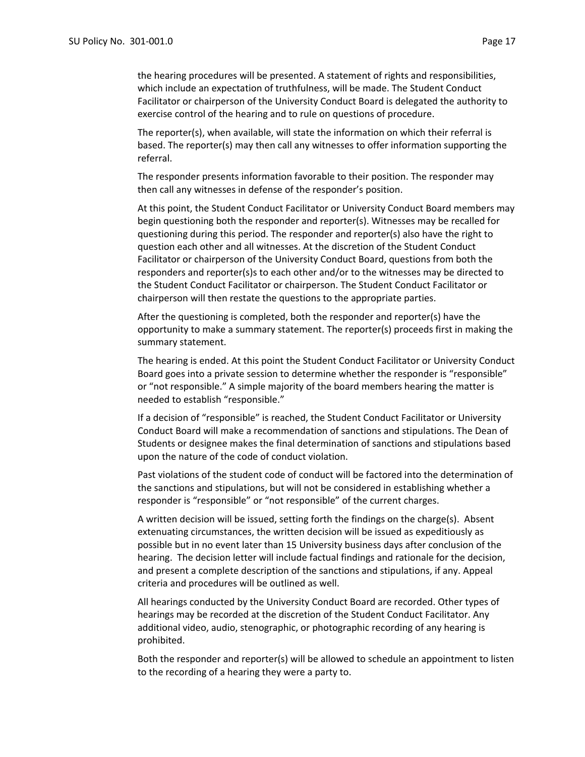the hearing procedures will be presented. A statement of rights and responsibilities, which include an expectation of truthfulness, will be made. The Student Conduct Facilitator or chairperson of the University Conduct Board is delegated the authority to exercise control of the hearing and to rule on questions of procedure.

The reporter(s), when available, will state the information on which their referral is based. The reporter(s) may then call any witnesses to offer information supporting the referral.

The responder presents information favorable to their position. The responder may then call any witnesses in defense of the responder's position.

At this point, the Student Conduct Facilitator or University Conduct Board members may begin questioning both the responder and reporter(s). Witnesses may be recalled for questioning during this period. The responder and reporter(s) also have the right to question each other and all witnesses. At the discretion of the Student Conduct Facilitator or chairperson of the University Conduct Board, questions from both the responders and reporter(s)s to each other and/or to the witnesses may be directed to the Student Conduct Facilitator or chairperson. The Student Conduct Facilitator or chairperson will then restate the questions to the appropriate parties.

After the questioning is completed, both the responder and reporter(s) have the opportunity to make a summary statement. The reporter(s) proceeds first in making the summary statement.

The hearing is ended. At this point the Student Conduct Facilitator or University Conduct Board goes into a private session to determine whether the responder is "responsible" or "not responsible." A simple majority of the board members hearing the matter is needed to establish "responsible."

If a decision of "responsible" is reached, the Student Conduct Facilitator or University Conduct Board will make a recommendation of sanctions and stipulations. The Dean of Students or designee makes the final determination of sanctions and stipulations based upon the nature of the code of conduct violation.

Past violations of the student code of conduct will be factored into the determination of the sanctions and stipulations, but will not be considered in establishing whether a responder is "responsible" or "not responsible" of the current charges.

A written decision will be issued, setting forth the findings on the charge(s). Absent extenuating circumstances, the written decision will be issued as expeditiously as possible but in no event later than 15 University business days after conclusion of the hearing. The decision letter will include factual findings and rationale for the decision, and present a complete description of the sanctions and stipulations, if any. Appeal criteria and procedures will be outlined as well.

All hearings conducted by the University Conduct Board are recorded. Other types of hearings may be recorded at the discretion of the Student Conduct Facilitator. Any additional video, audio, stenographic, or photographic recording of any hearing is prohibited.

Both the responder and reporter(s) will be allowed to schedule an appointment to listen to the recording of a hearing they were a party to.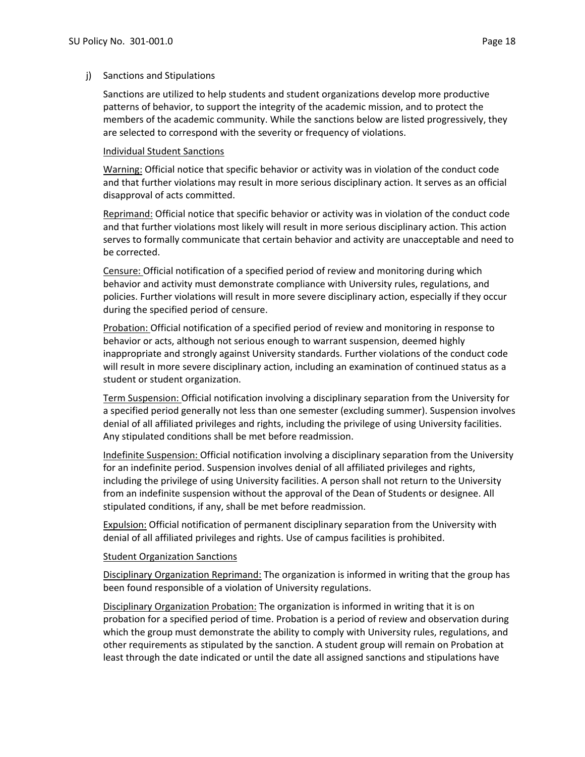#### j) Sanctions and Stipulations

Sanctions are utilized to help students and student organizations develop more productive patterns of behavior, to support the integrity of the academic mission, and to protect the members of the academic community. While the sanctions below are listed progressively, they are selected to correspond with the severity or frequency of violations.

### Individual Student Sanctions

Warning: Official notice that specific behavior or activity was in violation of the conduct code and that further violations may result in more serious disciplinary action. It serves as an official disapproval of acts committed.

Reprimand: Official notice that specific behavior or activity was in violation of the conduct code and that further violations most likely will result in more serious disciplinary action. This action serves to formally communicate that certain behavior and activity are unacceptable and need to be corrected.

Censure: Official notification of a specified period of review and monitoring during which behavior and activity must demonstrate compliance with University rules, regulations, and policies. Further violations will result in more severe disciplinary action, especially if they occur during the specified period of censure.

Probation: Official notification of a specified period of review and monitoring in response to behavior or acts, although not serious enough to warrant suspension, deemed highly inappropriate and strongly against University standards. Further violations of the conduct code will result in more severe disciplinary action, including an examination of continued status as a student or student organization.

Term Suspension: Official notification involving a disciplinary separation from the University for a specified period generally not less than one semester (excluding summer). Suspension involves denial of all affiliated privileges and rights, including the privilege of using University facilities. Any stipulated conditions shall be met before readmission.

Indefinite Suspension: Official notification involving a disciplinary separation from the University for an indefinite period. Suspension involves denial of all affiliated privileges and rights, including the privilege of using University facilities. A person shall not return to the University from an indefinite suspension without the approval of the Dean of Students or designee. All stipulated conditions, if any, shall be met before readmission.

**Expulsion: Official notification of permanent disciplinary separation from the University with** denial of all affiliated privileges and rights. Use of campus facilities is prohibited.

# **Student Organization Sanctions**

Disciplinary Organization Reprimand: The organization is informed in writing that the group has been found responsible of a violation of University regulations.

Disciplinary Organization Probation: The organization is informed in writing that it is on probation for a specified period of time. Probation is a period of review and observation during which the group must demonstrate the ability to comply with University rules, regulations, and other requirements as stipulated by the sanction. A student group will remain on Probation at least through the date indicated or until the date all assigned sanctions and stipulations have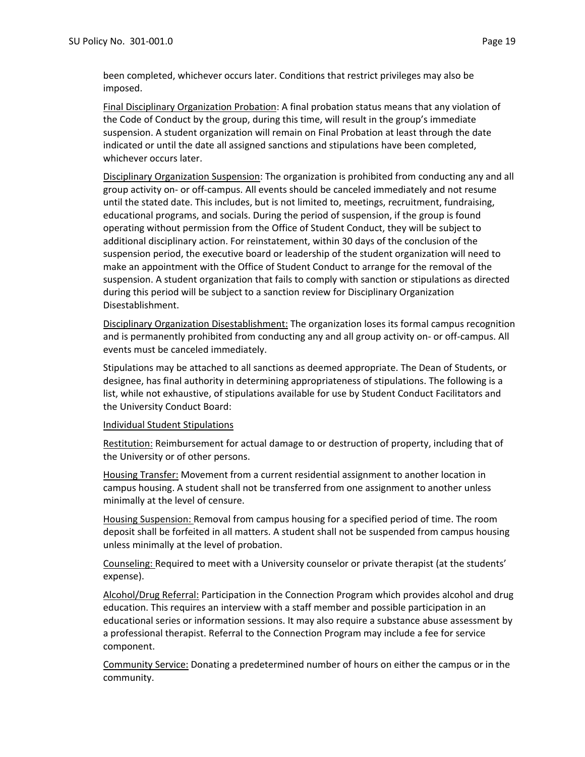been completed, whichever occurs later. Conditions that restrict privileges may also be imposed.

Final Disciplinary Organization Probation: A final probation status means that any violation of the Code of Conduct by the group, during this time, will result in the group's immediate suspension. A student organization will remain on Final Probation at least through the date indicated or until the date all assigned sanctions and stipulations have been completed, whichever occurs later.

Disciplinary Organization Suspension: The organization is prohibited from conducting any and all group activity on- or off-campus. All events should be canceled immediately and not resume until the stated date. This includes, but is not limited to, meetings, recruitment, fundraising, educational programs, and socials. During the period of suspension, if the group is found operating without permission from the Office of Student Conduct, they will be subject to additional disciplinary action. For reinstatement, within 30 days of the conclusion of the suspension period, the executive board or leadership of the student organization will need to make an appointment with the Office of Student Conduct to arrange for the removal of the suspension. A student organization that fails to comply with sanction or stipulations as directed during this period will be subject to a sanction review for Disciplinary Organization Disestablishment.

Disciplinary Organization Disestablishment: The organization loses its formal campus recognition and is permanently prohibited from conducting any and all group activity on- or off-campus. All events must be canceled immediately.

Stipulations may be attached to all sanctions as deemed appropriate. The Dean of Students, or designee, has final authority in determining appropriateness of stipulations. The following is a list, while not exhaustive, of stipulations available for use by Student Conduct Facilitators and the University Conduct Board:

#### Individual Student Stipulations

Restitution: Reimbursement for actual damage to or destruction of property, including that of the University or of other persons.

Housing Transfer: Movement from a current residential assignment to another location in campus housing. A student shall not be transferred from one assignment to another unless minimally at the level of censure.

Housing Suspension: Removal from campus housing for a specified period of time. The room deposit shall be forfeited in all matters. A student shall not be suspended from campus housing unless minimally at the level of probation.

Counseling: Required to meet with a University counselor or private therapist (at the students' expense).

Alcohol/Drug Referral: Participation in the Connection Program which provides alcohol and drug education. This requires an interview with a staff member and possible participation in an educational series or information sessions. It may also require a substance abuse assessment by a professional therapist. Referral to the Connection Program may include a fee for service component.

Community Service: Donating a predetermined number of hours on either the campus or in the community.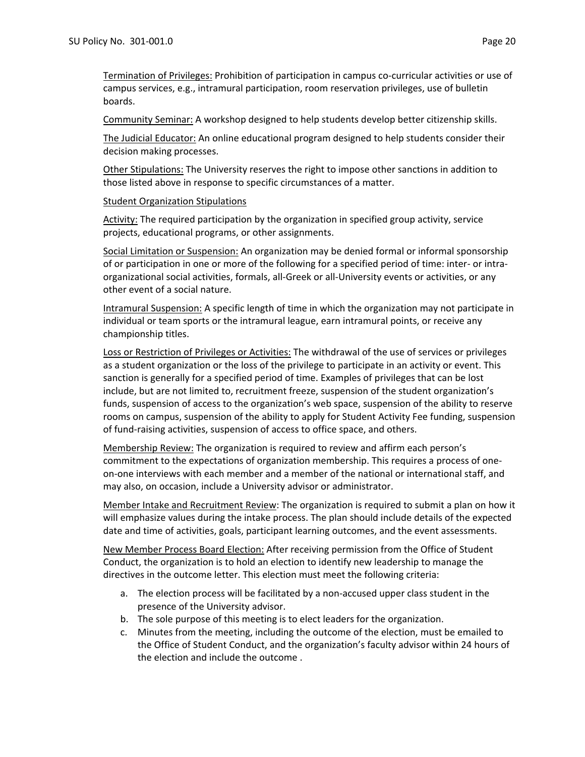Termination of Privileges: Prohibition of participation in campus co-curricular activities or use of campus services, e.g., intramural participation, room reservation privileges, use of bulletin boards.

Community Seminar: A workshop designed to help students develop better citizenship skills.

The Judicial Educator: An online educational program designed to help students consider their decision making processes.

Other Stipulations: The University reserves the right to impose other sanctions in addition to those listed above in response to specific circumstances of a matter.

### Student Organization Stipulations

Activity: The required participation by the organization in specified group activity, service projects, educational programs, or other assignments.

Social Limitation or Suspension: An organization may be denied formal or informal sponsorship of or participation in one or more of the following for a specified period of time: inter- or intraorganizational social activities, formals, all-Greek or all-University events or activities, or any other event of a social nature.

Intramural Suspension: A specific length of time in which the organization may not participate in individual or team sports or the intramural league, earn intramural points, or receive any championship titles.

Loss or Restriction of Privileges or Activities: The withdrawal of the use of services or privileges as a student organization or the loss of the privilege to participate in an activity or event. This sanction is generally for a specified period of time. Examples of privileges that can be lost include, but are not limited to, recruitment freeze, suspension of the student organization's funds, suspension of access to the organization's web space, suspension of the ability to reserve rooms on campus, suspension of the ability to apply for Student Activity Fee funding, suspension of fund-raising activities, suspension of access to office space, and others.

Membership Review: The organization is required to review and affirm each person's commitment to the expectations of organization membership. This requires a process of oneon-one interviews with each member and a member of the national or international staff, and may also, on occasion, include a University advisor or administrator.

Member Intake and Recruitment Review: The organization is required to submit a plan on how it will emphasize values during the intake process. The plan should include details of the expected date and time of activities, goals, participant learning outcomes, and the event assessments.

New Member Process Board Election: After receiving permission from the Office of Student Conduct, the organization is to hold an election to identify new leadership to manage the directives in the outcome letter. This election must meet the following criteria:

- a. The election process will be facilitated by a non-accused upper class student in the presence of the University advisor.
- b. The sole purpose of this meeting is to elect leaders for the organization.
- c. Minutes from the meeting, including the outcome of the election, must be emailed to the Office of Student Conduct, and the organization's faculty advisor within 24 hours of the election and include the outcome .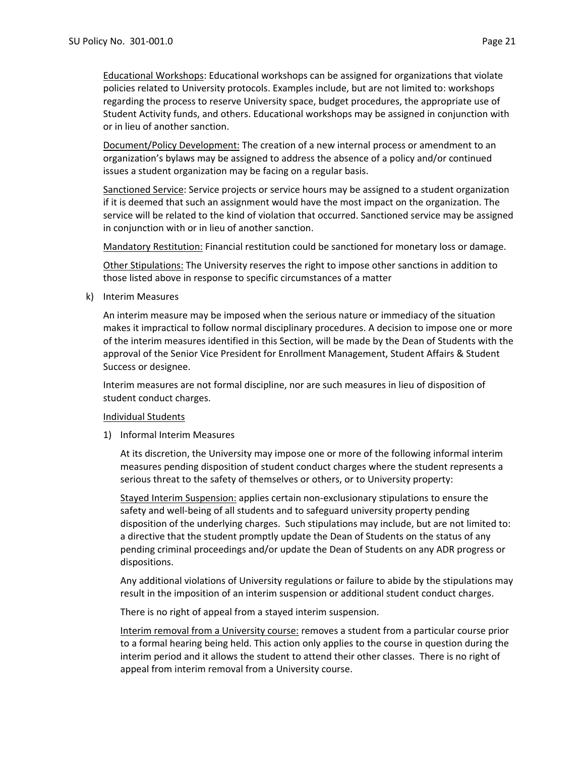Document/Policy Development: The creation of a new internal process or amendment to an organization's bylaws may be assigned to address the absence of a policy and/or continued issues a student organization may be facing on a regular basis.

Sanctioned Service: Service projects or service hours may be assigned to a student organization if it is deemed that such an assignment would have the most impact on the organization. The service will be related to the kind of violation that occurred. Sanctioned service may be assigned in conjunction with or in lieu of another sanction.

Mandatory Restitution: Financial restitution could be sanctioned for monetary loss or damage.

Other Stipulations: The University reserves the right to impose other sanctions in addition to those listed above in response to specific circumstances of a matter

k) Interim Measures

An interim measure may be imposed when the serious nature or immediacy of the situation makes it impractical to follow normal disciplinary procedures. A decision to impose one or more of the interim measures identified in this Section, will be made by the Dean of Students with the approval of the Senior Vice President for Enrollment Management, Student Affairs & Student Success or designee.

Interim measures are not formal discipline, nor are such measures in lieu of disposition of student conduct charges.

# Individual Students

1) Informal Interim Measures

At its discretion, the University may impose one or more of the following informal interim measures pending disposition of student conduct charges where the student represents a serious threat to the safety of themselves or others, or to University property:

Stayed Interim Suspension: applies certain non-exclusionary stipulations to ensure the safety and well-being of all students and to safeguard university property pending disposition of the underlying charges. Such stipulations may include, but are not limited to: a directive that the student promptly update the Dean of Students on the status of any pending criminal proceedings and/or update the Dean of Students on any ADR progress or dispositions.

Any additional violations of University regulations or failure to abide by the stipulations may result in the imposition of an interim suspension or additional student conduct charges.

There is no right of appeal from a stayed interim suspension.

Interim removal from a University course: removes a student from a particular course prior to a formal hearing being held. This action only applies to the course in question during the interim period and it allows the student to attend their other classes. There is no right of appeal from interim removal from a University course.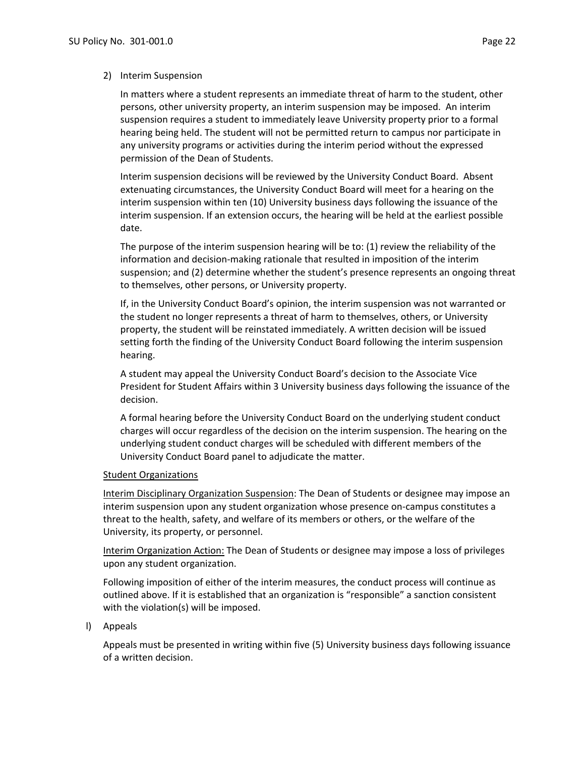#### 2) Interim Suspension

In matters where a student represents an immediate threat of harm to the student, other persons, other university property, an interim suspension may be imposed. An interim suspension requires a student to immediately leave University property prior to a formal hearing being held. The student will not be permitted return to campus nor participate in any university programs or activities during the interim period without the expressed permission of the Dean of Students.

Interim suspension decisions will be reviewed by the University Conduct Board. Absent extenuating circumstances, the University Conduct Board will meet for a hearing on the interim suspension within ten (10) University business days following the issuance of the interim suspension. If an extension occurs, the hearing will be held at the earliest possible date.

The purpose of the interim suspension hearing will be to: (1) review the reliability of the information and decision-making rationale that resulted in imposition of the interim suspension; and (2) determine whether the student's presence represents an ongoing threat to themselves, other persons, or University property.

If, in the University Conduct Board's opinion, the interim suspension was not warranted or the student no longer represents a threat of harm to themselves, others, or University property, the student will be reinstated immediately. A written decision will be issued setting forth the finding of the University Conduct Board following the interim suspension hearing.

A student may appeal the University Conduct Board's decision to the Associate Vice President for Student Affairs within 3 University business days following the issuance of the decision.

A formal hearing before the University Conduct Board on the underlying student conduct charges will occur regardless of the decision on the interim suspension. The hearing on the underlying student conduct charges will be scheduled with different members of the University Conduct Board panel to adjudicate the matter.

#### Student Organizations

Interim Disciplinary Organization Suspension: The Dean of Students or designee may impose an interim suspension upon any student organization whose presence on-campus constitutes a threat to the health, safety, and welfare of its members or others, or the welfare of the University, its property, or personnel.

Interim Organization Action: The Dean of Students or designee may impose a loss of privileges upon any student organization.

Following imposition of either of the interim measures, the conduct process will continue as outlined above. If it is established that an organization is "responsible" a sanction consistent with the violation(s) will be imposed.

#### l) Appeals

Appeals must be presented in writing within five (5) University business days following issuance of a written decision.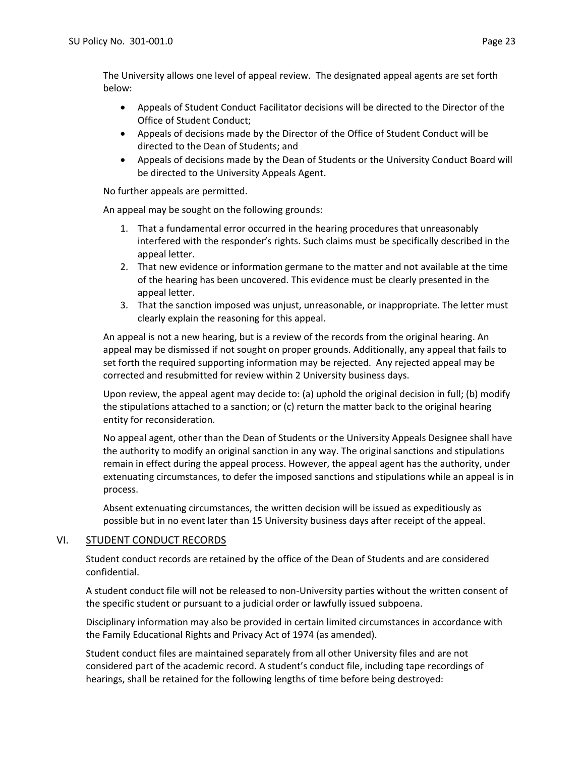The University allows one level of appeal review. The designated appeal agents are set forth below:

- Appeals of Student Conduct Facilitator decisions will be directed to the Director of the Office of Student Conduct;
- Appeals of decisions made by the Director of the Office of Student Conduct will be directed to the Dean of Students; and
- Appeals of decisions made by the Dean of Students or the University Conduct Board will be directed to the University Appeals Agent.

No further appeals are permitted.

An appeal may be sought on the following grounds:

- 1. That a fundamental error occurred in the hearing procedures that unreasonably interfered with the responder's rights. Such claims must be specifically described in the appeal letter.
- 2. That new evidence or information germane to the matter and not available at the time of the hearing has been uncovered. This evidence must be clearly presented in the appeal letter.
- 3. That the sanction imposed was unjust, unreasonable, or inappropriate. The letter must clearly explain the reasoning for this appeal.

An appeal is not a new hearing, but is a review of the records from the original hearing. An appeal may be dismissed if not sought on proper grounds. Additionally, any appeal that fails to set forth the required supporting information may be rejected. Any rejected appeal may be corrected and resubmitted for review within 2 University business days.

Upon review, the appeal agent may decide to: (a) uphold the original decision in full; (b) modify the stipulations attached to a sanction; or (c) return the matter back to the original hearing entity for reconsideration.

No appeal agent, other than the Dean of Students or the University Appeals Designee shall have the authority to modify an original sanction in any way. The original sanctions and stipulations remain in effect during the appeal process. However, the appeal agent has the authority, under extenuating circumstances, to defer the imposed sanctions and stipulations while an appeal is in process.

Absent extenuating circumstances, the written decision will be issued as expeditiously as possible but in no event later than 15 University business days after receipt of the appeal.

# VI. STUDENT CONDUCT RECORDS

Student conduct records are retained by the office of the Dean of Students and are considered confidential.

A student conduct file will not be released to non-University parties without the written consent of the specific student or pursuant to a judicial order or lawfully issued subpoena.

Disciplinary information may also be provided in certain limited circumstances in accordance with the Family Educational Rights and Privacy Act of 1974 (as amended).

Student conduct files are maintained separately from all other University files and are not considered part of the academic record. A student's conduct file, including tape recordings of hearings, shall be retained for the following lengths of time before being destroyed: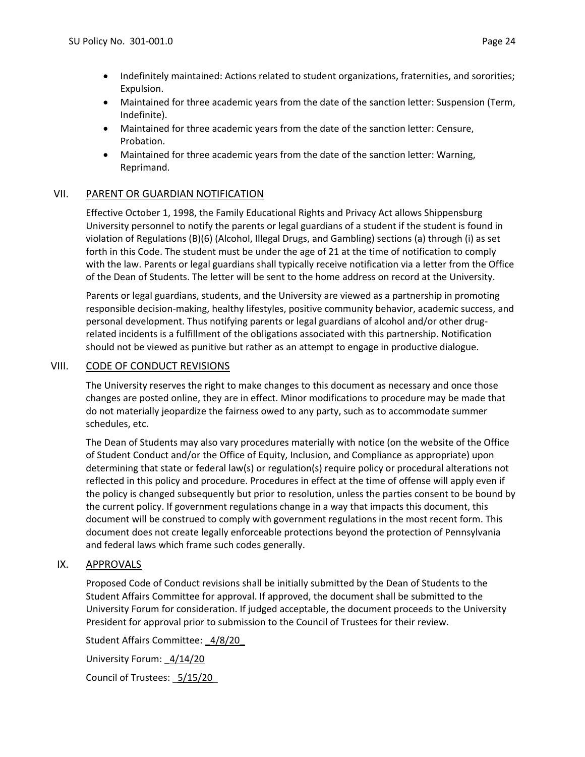- Indefinitely maintained: Actions related to student organizations, fraternities, and sororities; Expulsion.
- Maintained for three academic years from the date of the sanction letter: Suspension (Term, Indefinite).
- Maintained for three academic years from the date of the sanction letter: Censure, Probation.
- Maintained for three academic years from the date of the sanction letter: Warning, Reprimand.

# VII. PARENT OR GUARDIAN NOTIFICATION

Effective October 1, 1998, the Family Educational Rights and Privacy Act allows Shippensburg University personnel to notify the parents or legal guardians of a student if the student is found in violation of Regulations (B)(6) (Alcohol, Illegal Drugs, and Gambling) sections (a) through (i) as set forth in this Code. The student must be under the age of 21 at the time of notification to comply with the law. Parents or legal guardians shall typically receive notification via a letter from the Office of the Dean of Students. The letter will be sent to the home address on record at the University.

Parents or legal guardians, students, and the University are viewed as a partnership in promoting responsible decision-making, healthy lifestyles, positive community behavior, academic success, and personal development. Thus notifying parents or legal guardians of alcohol and/or other drugrelated incidents is a fulfillment of the obligations associated with this partnership. Notification should not be viewed as punitive but rather as an attempt to engage in productive dialogue.

# VIII. CODE OF CONDUCT REVISIONS

The University reserves the right to make changes to this document as necessary and once those changes are posted online, they are in effect. Minor modifications to procedure may be made that do not materially jeopardize the fairness owed to any party, such as to accommodate summer schedules, etc.

The Dean of Students may also vary procedures materially with notice (on the website of the Office of Student Conduct and/or the Office of Equity, Inclusion, and Compliance as appropriate) upon determining that state or federal law(s) or regulation(s) require policy or procedural alterations not reflected in this policy and procedure. Procedures in effect at the time of offense will apply even if the policy is changed subsequently but prior to resolution, unless the parties consent to be bound by the current policy. If government regulations change in a way that impacts this document, this document will be construed to comply with government regulations in the most recent form. This document does not create legally enforceable protections beyond the protection of Pennsylvania and federal laws which frame such codes generally.

# IX. APPROVALS

Proposed Code of Conduct revisions shall be initially submitted by the Dean of Students to the Student Affairs Committee for approval. If approved, the document shall be submitted to the University Forum for consideration. If judged acceptable, the document proceeds to the University President for approval prior to submission to the Council of Trustees for their review.

Student Affairs Committee: \_4/8/20\_

University Forum: \_4/14/20

Council of Trustees: \_5/15/20\_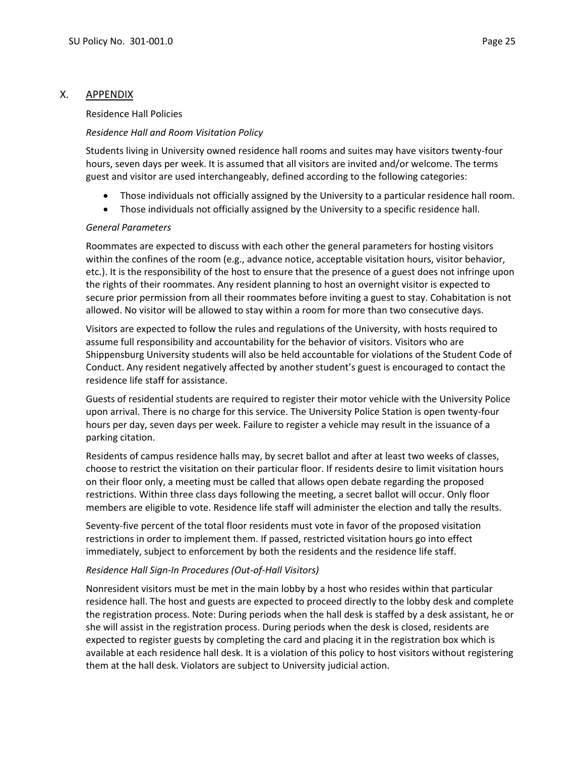# X. APPENDIX

### Residence Hall Policies

# *Residence Hall and Room Visitation Policy*

Students living in University owned residence hall rooms and suites may have visitors twenty-four hours, seven days per week. It is assumed that all visitors are invited and/or welcome. The terms guest and visitor are used interchangeably, defined according to the following categories:

- Those individuals not officially assigned by the University to a particular residence hall room.
- Those individuals not officially assigned by the University to a specific residence hall.

# *General Parameters*

Roommates are expected to discuss with each other the general parameters for hosting visitors within the confines of the room (e.g., advance notice, acceptable visitation hours, visitor behavior, etc.). It is the responsibility of the host to ensure that the presence of a guest does not infringe upon the rights of their roommates. Any resident planning to host an overnight visitor is expected to secure prior permission from all their roommates before inviting a guest to stay. Cohabitation is not allowed. No visitor will be allowed to stay within a room for more than two consecutive days.

Visitors are expected to follow the rules and regulations of the University, with hosts required to assume full responsibility and accountability for the behavior of visitors. Visitors who are Shippensburg University students will also be held accountable for violations of the Student Code of Conduct. Any resident negatively affected by another student's guest is encouraged to contact the residence life staff for assistance.

Guests of residential students are required to register their motor vehicle with the University Police upon arrival. There is no charge for this service. The University Police Station is open twenty-four hours per day, seven days per week. Failure to register a vehicle may result in the issuance of a parking citation.

Residents of campus residence halls may, by secret ballot and after at least two weeks of classes, choose to restrict the visitation on their particular floor. If residents desire to limit visitation hours on their floor only, a meeting must be called that allows open debate regarding the proposed restrictions. Within three class days following the meeting, a secret ballot will occur. Only floor members are eligible to vote. Residence life staff will administer the election and tally the results.

Seventy-five percent of the total floor residents must vote in favor of the proposed visitation restrictions in order to implement them. If passed, restricted visitation hours go into effect immediately, subject to enforcement by both the residents and the residence life staff.

# *Residence Hall Sign-In Procedures (Out-of-Hall Visitors)*

Nonresident visitors must be met in the main lobby by a host who resides within that particular residence hall. The host and guests are expected to proceed directly to the lobby desk and complete the registration process. Note: During periods when the hall desk is staffed by a desk assistant, he or she will assist in the registration process. During periods when the desk is closed, residents are expected to register guests by completing the card and placing it in the registration box which is available at each residence hall desk. It is a violation of this policy to host visitors without registering them at the hall desk. Violators are subject to University judicial action.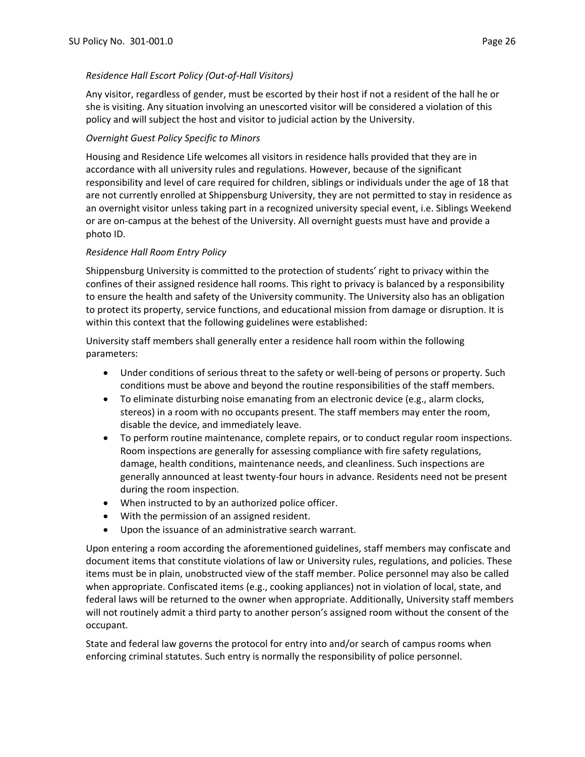# *Residence Hall Escort Policy (Out-of-Hall Visitors)*

Any visitor, regardless of gender, must be escorted by their host if not a resident of the hall he or she is visiting. Any situation involving an unescorted visitor will be considered a violation of this policy and will subject the host and visitor to judicial action by the University.

# *Overnight Guest Policy Specific to Minors*

Housing and Residence Life welcomes all visitors in residence halls provided that they are in accordance with all university rules and regulations. However, because of the significant responsibility and level of care required for children, siblings or individuals under the age of 18 that are not currently enrolled at Shippensburg University, they are not permitted to stay in residence as an overnight visitor unless taking part in a recognized university special event, i.e. Siblings Weekend or are on-campus at the behest of the University. All overnight guests must have and provide a photo ID.

# *Residence Hall Room Entry Policy*

Shippensburg University is committed to the protection of students' right to privacy within the confines of their assigned residence hall rooms. This right to privacy is balanced by a responsibility to ensure the health and safety of the University community. The University also has an obligation to protect its property, service functions, and educational mission from damage or disruption. It is within this context that the following guidelines were established:

University staff members shall generally enter a residence hall room within the following parameters:

- Under conditions of serious threat to the safety or well-being of persons or property. Such conditions must be above and beyond the routine responsibilities of the staff members.
- To eliminate disturbing noise emanating from an electronic device (e.g., alarm clocks, stereos) in a room with no occupants present. The staff members may enter the room, disable the device, and immediately leave.
- To perform routine maintenance, complete repairs, or to conduct regular room inspections. Room inspections are generally for assessing compliance with fire safety regulations, damage, health conditions, maintenance needs, and cleanliness. Such inspections are generally announced at least twenty-four hours in advance. Residents need not be present during the room inspection.
- When instructed to by an authorized police officer.
- With the permission of an assigned resident.
- Upon the issuance of an administrative search warrant.

Upon entering a room according the aforementioned guidelines, staff members may confiscate and document items that constitute violations of law or University rules, regulations, and policies. These items must be in plain, unobstructed view of the staff member. Police personnel may also be called when appropriate. Confiscated items (e.g., cooking appliances) not in violation of local, state, and federal laws will be returned to the owner when appropriate. Additionally, University staff members will not routinely admit a third party to another person's assigned room without the consent of the occupant.

State and federal law governs the protocol for entry into and/or search of campus rooms when enforcing criminal statutes. Such entry is normally the responsibility of police personnel.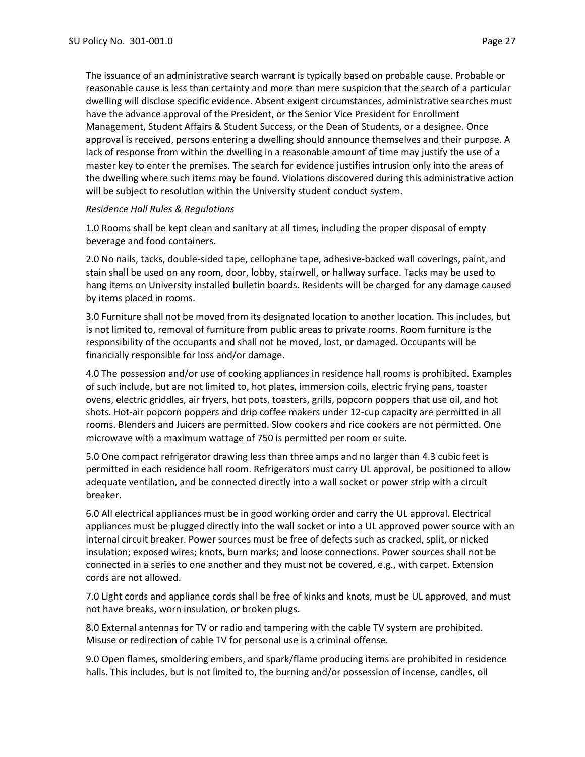The issuance of an administrative search warrant is typically based on probable cause. Probable or reasonable cause is less than certainty and more than mere suspicion that the search of a particular dwelling will disclose specific evidence. Absent exigent circumstances, administrative searches must have the advance approval of the President, or the Senior Vice President for Enrollment Management, Student Affairs & Student Success, or the Dean of Students, or a designee. Once approval is received, persons entering a dwelling should announce themselves and their purpose. A lack of response from within the dwelling in a reasonable amount of time may justify the use of a master key to enter the premises. The search for evidence justifies intrusion only into the areas of the dwelling where such items may be found. Violations discovered during this administrative action will be subject to resolution within the University student conduct system.

### *Residence Hall Rules & Regulations*

1.0 Rooms shall be kept clean and sanitary at all times, including the proper disposal of empty beverage and food containers.

2.0 No nails, tacks, double-sided tape, cellophane tape, adhesive-backed wall coverings, paint, and stain shall be used on any room, door, lobby, stairwell, or hallway surface. Tacks may be used to hang items on University installed bulletin boards. Residents will be charged for any damage caused by items placed in rooms.

3.0 Furniture shall not be moved from its designated location to another location. This includes, but is not limited to, removal of furniture from public areas to private rooms. Room furniture is the responsibility of the occupants and shall not be moved, lost, or damaged. Occupants will be financially responsible for loss and/or damage.

4.0 The possession and/or use of cooking appliances in residence hall rooms is prohibited. Examples of such include, but are not limited to, hot plates, immersion coils, electric frying pans, toaster ovens, electric griddles, air fryers, hot pots, toasters, grills, popcorn poppers that use oil, and hot shots. Hot-air popcorn poppers and drip coffee makers under 12-cup capacity are permitted in all rooms. Blenders and Juicers are permitted. Slow cookers and rice cookers are not permitted. One microwave with a maximum wattage of 750 is permitted per room or suite.

5.0 One compact refrigerator drawing less than three amps and no larger than 4.3 cubic feet is permitted in each residence hall room. Refrigerators must carry UL approval, be positioned to allow adequate ventilation, and be connected directly into a wall socket or power strip with a circuit breaker.

6.0 All electrical appliances must be in good working order and carry the UL approval. Electrical appliances must be plugged directly into the wall socket or into a UL approved power source with an internal circuit breaker. Power sources must be free of defects such as cracked, split, or nicked insulation; exposed wires; knots, burn marks; and loose connections. Power sources shall not be connected in a series to one another and they must not be covered, e.g., with carpet. Extension cords are not allowed.

7.0 Light cords and appliance cords shall be free of kinks and knots, must be UL approved, and must not have breaks, worn insulation, or broken plugs.

8.0 External antennas for TV or radio and tampering with the cable TV system are prohibited. Misuse or redirection of cable TV for personal use is a criminal offense.

9.0 Open flames, smoldering embers, and spark/flame producing items are prohibited in residence halls. This includes, but is not limited to, the burning and/or possession of incense, candles, oil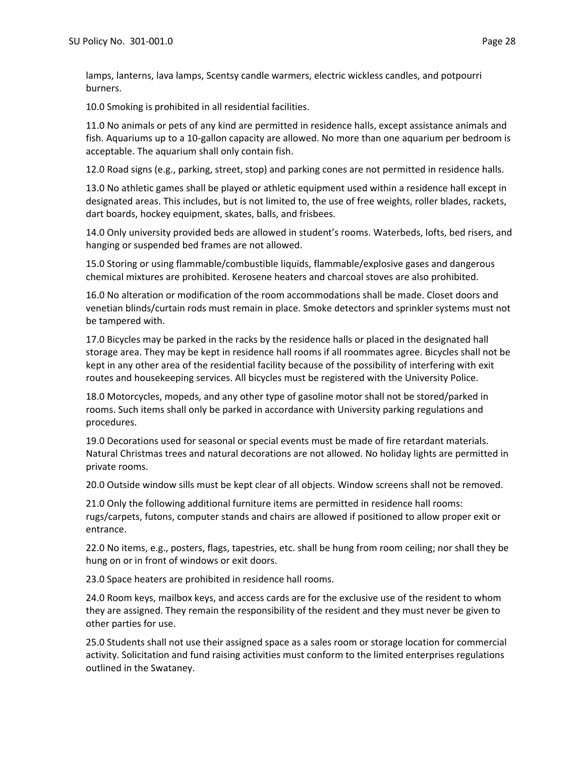lamps, lanterns, lava lamps, Scentsy candle warmers, electric wickless candles, and potpourri burners.

10.0 Smoking is prohibited in all residential facilities.

11.0 No animals or pets of any kind are permitted in residence halls, except assistance animals and fish. Aquariums up to a 10-gallon capacity are allowed. No more than one aquarium per bedroom is acceptable. The aquarium shall only contain fish.

12.0 Road signs (e.g., parking, street, stop) and parking cones are not permitted in residence halls.

13.0 No athletic games shall be played or athletic equipment used within a residence hall except in designated areas. This includes, but is not limited to, the use of free weights, roller blades, rackets, dart boards, hockey equipment, skates, balls, and frisbees.

14.0 Only university provided beds are allowed in student's rooms. Waterbeds, lofts, bed risers, and hanging or suspended bed frames are not allowed.

15.0 Storing or using flammable/combustible liquids, flammable/explosive gases and dangerous chemical mixtures are prohibited. Kerosene heaters and charcoal stoves are also prohibited.

16.0 No alteration or modification of the room accommodations shall be made. Closet doors and venetian blinds/curtain rods must remain in place. Smoke detectors and sprinkler systems must not be tampered with.

17.0 Bicycles may be parked in the racks by the residence halls or placed in the designated hall storage area. They may be kept in residence hall rooms if all roommates agree. Bicycles shall not be kept in any other area of the residential facility because of the possibility of interfering with exit routes and housekeeping services. All bicycles must be registered with the University Police.

18.0 Motorcycles, mopeds, and any other type of gasoline motor shall not be stored/parked in rooms. Such items shall only be parked in accordance with University parking regulations and procedures.

19.0 Decorations used for seasonal or special events must be made of fire retardant materials. Natural Christmas trees and natural decorations are not allowed. No holiday lights are permitted in private rooms.

20.0 Outside window sills must be kept clear of all objects. Window screens shall not be removed.

21.0 Only the following additional furniture items are permitted in residence hall rooms: rugs/carpets, futons, computer stands and chairs are allowed if positioned to allow proper exit or entrance.

22.0 No items, e.g., posters, flags, tapestries, etc. shall be hung from room ceiling; nor shall they be hung on or in front of windows or exit doors.

23.0 Space heaters are prohibited in residence hall rooms.

24.0 Room keys, mailbox keys, and access cards are for the exclusive use of the resident to whom they are assigned. They remain the responsibility of the resident and they must never be given to other parties for use.

25.0 Students shall not use their assigned space as a sales room or storage location for commercial activity. Solicitation and fund raising activities must conform to the limited enterprises regulations outlined in the Swataney.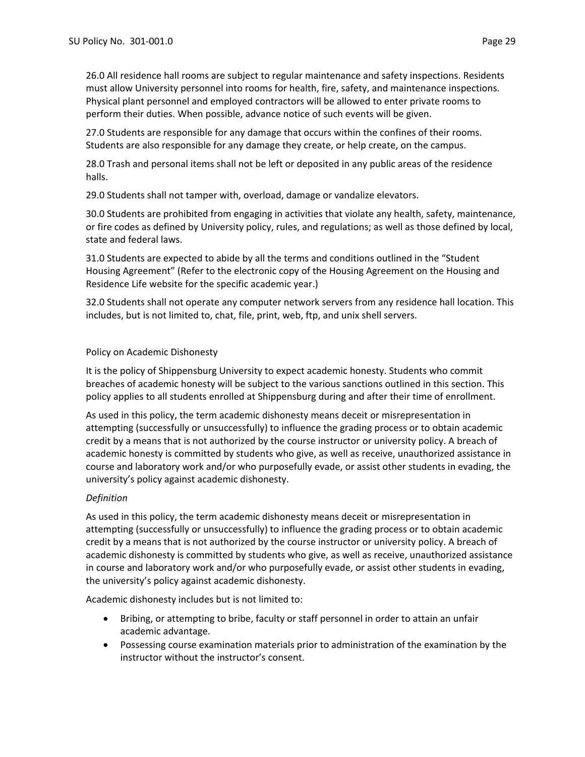26.0 All residence hall rooms are subject to regular maintenance and safety inspections. Residents must allow University personnel into rooms for health, fire, safety, and maintenance inspections. Physical plant personnel and employed contractors will be allowed to enter private rooms to perform their duties. When possible, advance notice of such events will be given.

27.0 Students are responsible for any damage that occurs within the confines of their rooms. Students are also responsible for any damage they create, or help create, on the campus.

28.0 Trash and personal items shall not be left or deposited in any public areas of the residence halls.

29.0 Students shall not tamper with, overload, damage or vandalize elevators.

30.0 Students are prohibited from engaging in activities that violate any health, safety, maintenance, or fire codes as defined by University policy, rules, and regulations; as well as those defined by local, state and federal laws.

31.0 Students are expected to abide by all the terms and conditions outlined in the "Student Housing Agreement" (Refer to the electronic copy of the Housing Agreement on the Housing and Residence Life website for the specific academic year.)

32.0 Students shall not operate any computer network servers from any residence hall location. This includes, but is not limited to, chat, file, print, web, ftp, and unix shell servers.

# Policy on Academic Dishonesty

It is the policy of Shippensburg University to expect academic honesty. Students who commit breaches of academic honesty will be subject to the various sanctions outlined in this section. This policy applies to all students enrolled at Shippensburg during and after their time of enrollment.

As used in this policy, the term academic dishonesty means deceit or misrepresentation in attempting (successfully or unsuccessfully) to influence the grading process or to obtain academic credit by a means that is not authorized by the course instructor or university policy. A breach of academic honesty is committed by students who give, as well as receive, unauthorized assistance in course and laboratory work and/or who purposefully evade, or assist other students in evading, the university's policy against academic dishonesty.

# *Definition*

As used in this policy, the term academic dishonesty means deceit or misrepresentation in attempting (successfully or unsuccessfully) to influence the grading process or to obtain academic credit by a means that is not authorized by the course instructor or university policy. A breach of academic dishonesty is committed by students who give, as well as receive, unauthorized assistance in course and laboratory work and/or who purposefully evade, or assist other students in evading, the university's policy against academic dishonesty.

Academic dishonesty includes but is not limited to:

- Bribing, or attempting to bribe, faculty or staff personnel in order to attain an unfair academic advantage.
- Possessing course examination materials prior to administration of the examination by the instructor without the instructor's consent.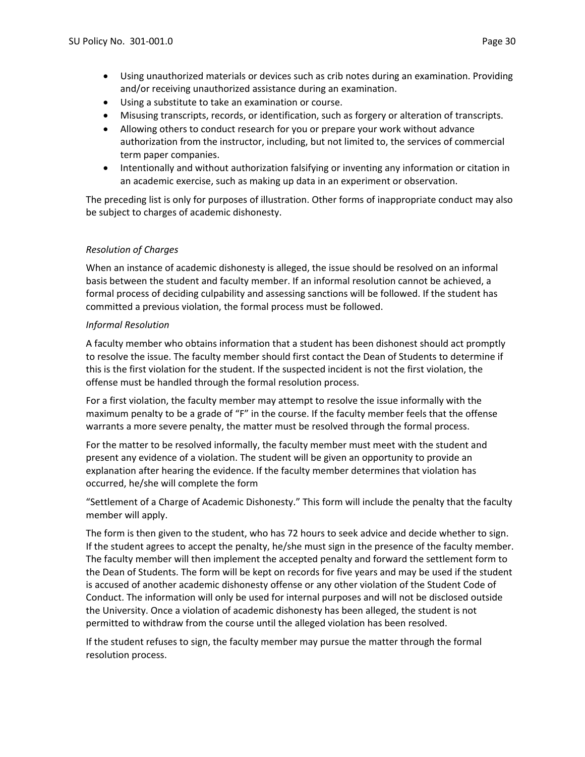- Using unauthorized materials or devices such as crib notes during an examination. Providing and/or receiving unauthorized assistance during an examination.
- Using a substitute to take an examination or course.
- Misusing transcripts, records, or identification, such as forgery or alteration of transcripts.
- Allowing others to conduct research for you or prepare your work without advance authorization from the instructor, including, but not limited to, the services of commercial term paper companies.
- Intentionally and without authorization falsifying or inventing any information or citation in an academic exercise, such as making up data in an experiment or observation.

The preceding list is only for purposes of illustration. Other forms of inappropriate conduct may also be subject to charges of academic dishonesty.

# *Resolution of Charges*

When an instance of academic dishonesty is alleged, the issue should be resolved on an informal basis between the student and faculty member. If an informal resolution cannot be achieved, a formal process of deciding culpability and assessing sanctions will be followed. If the student has committed a previous violation, the formal process must be followed.

# *Informal Resolution*

A faculty member who obtains information that a student has been dishonest should act promptly to resolve the issue. The faculty member should first contact the Dean of Students to determine if this is the first violation for the student. If the suspected incident is not the first violation, the offense must be handled through the formal resolution process.

For a first violation, the faculty member may attempt to resolve the issue informally with the maximum penalty to be a grade of "F" in the course. If the faculty member feels that the offense warrants a more severe penalty, the matter must be resolved through the formal process.

For the matter to be resolved informally, the faculty member must meet with the student and present any evidence of a violation. The student will be given an opportunity to provide an explanation after hearing the evidence. If the faculty member determines that violation has occurred, he/she will complete the form

"Settlement of a Charge of Academic Dishonesty." This form will include the penalty that the faculty member will apply.

The form is then given to the student, who has 72 hours to seek advice and decide whether to sign. If the student agrees to accept the penalty, he/she must sign in the presence of the faculty member. The faculty member will then implement the accepted penalty and forward the settlement form to the Dean of Students. The form will be kept on records for five years and may be used if the student is accused of another academic dishonesty offense or any other violation of the Student Code of Conduct. The information will only be used for internal purposes and will not be disclosed outside the University. Once a violation of academic dishonesty has been alleged, the student is not permitted to withdraw from the course until the alleged violation has been resolved.

If the student refuses to sign, the faculty member may pursue the matter through the formal resolution process.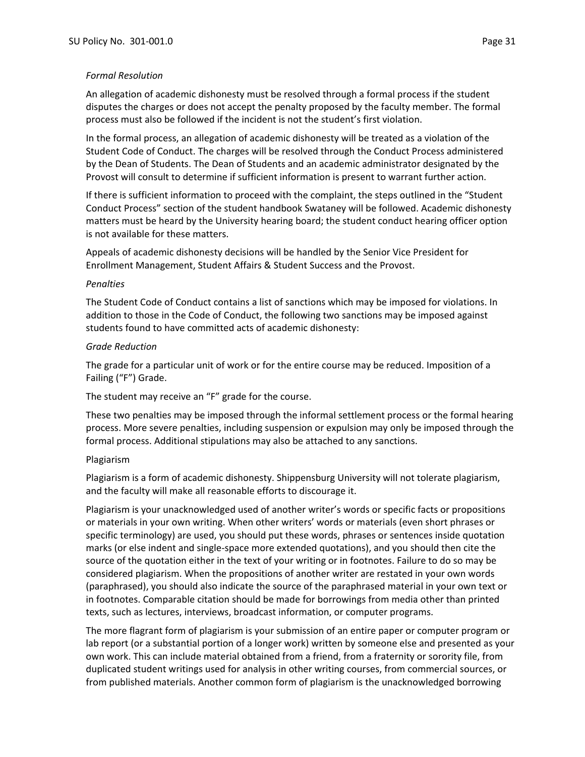### *Formal Resolution*

An allegation of academic dishonesty must be resolved through a formal process if the student disputes the charges or does not accept the penalty proposed by the faculty member. The formal process must also be followed if the incident is not the student's first violation.

In the formal process, an allegation of academic dishonesty will be treated as a violation of the Student Code of Conduct. The charges will be resolved through the Conduct Process administered by the Dean of Students. The Dean of Students and an academic administrator designated by the Provost will consult to determine if sufficient information is present to warrant further action.

If there is sufficient information to proceed with the complaint, the steps outlined in the "Student Conduct Process" section of the student handbook Swataney will be followed. Academic dishonesty matters must be heard by the University hearing board; the student conduct hearing officer option is not available for these matters.

Appeals of academic dishonesty decisions will be handled by the Senior Vice President for Enrollment Management, Student Affairs & Student Success and the Provost.

#### *Penalties*

The Student Code of Conduct contains a list of sanctions which may be imposed for violations. In addition to those in the Code of Conduct, the following two sanctions may be imposed against students found to have committed acts of academic dishonesty:

#### *Grade Reduction*

The grade for a particular unit of work or for the entire course may be reduced. Imposition of a Failing ("F") Grade.

The student may receive an "F" grade for the course.

These two penalties may be imposed through the informal settlement process or the formal hearing process. More severe penalties, including suspension or expulsion may only be imposed through the formal process. Additional stipulations may also be attached to any sanctions.

#### Plagiarism

Plagiarism is a form of academic dishonesty. Shippensburg University will not tolerate plagiarism, and the faculty will make all reasonable efforts to discourage it.

Plagiarism is your unacknowledged used of another writer's words or specific facts or propositions or materials in your own writing. When other writers' words or materials (even short phrases or specific terminology) are used, you should put these words, phrases or sentences inside quotation marks (or else indent and single-space more extended quotations), and you should then cite the source of the quotation either in the text of your writing or in footnotes. Failure to do so may be considered plagiarism. When the propositions of another writer are restated in your own words (paraphrased), you should also indicate the source of the paraphrased material in your own text or in footnotes. Comparable citation should be made for borrowings from media other than printed texts, such as lectures, interviews, broadcast information, or computer programs.

The more flagrant form of plagiarism is your submission of an entire paper or computer program or lab report (or a substantial portion of a longer work) written by someone else and presented as your own work. This can include material obtained from a friend, from a fraternity or sorority file, from duplicated student writings used for analysis in other writing courses, from commercial sources, or from published materials. Another common form of plagiarism is the unacknowledged borrowing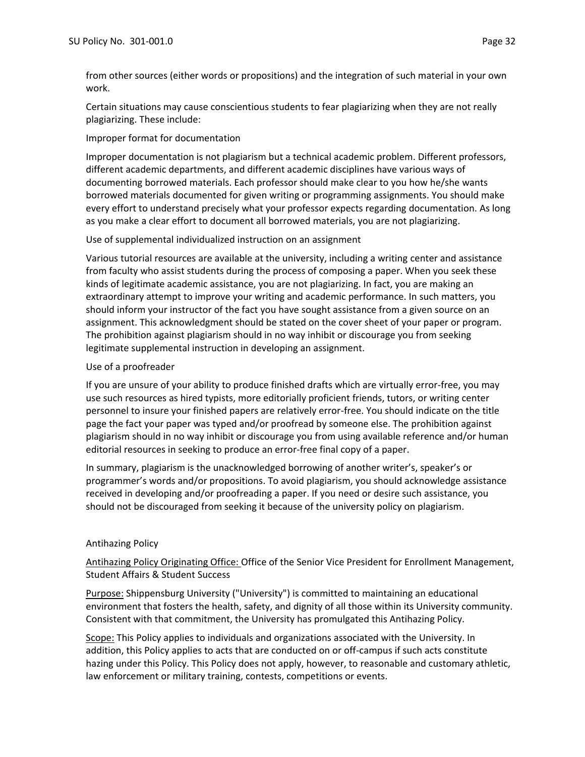from other sources (either words or propositions) and the integration of such material in your own work.

Certain situations may cause conscientious students to fear plagiarizing when they are not really plagiarizing. These include:

### Improper format for documentation

Improper documentation is not plagiarism but a technical academic problem. Different professors, different academic departments, and different academic disciplines have various ways of documenting borrowed materials. Each professor should make clear to you how he/she wants borrowed materials documented for given writing or programming assignments. You should make every effort to understand precisely what your professor expects regarding documentation. As long as you make a clear effort to document all borrowed materials, you are not plagiarizing.

### Use of supplemental individualized instruction on an assignment

Various tutorial resources are available at the university, including a writing center and assistance from faculty who assist students during the process of composing a paper. When you seek these kinds of legitimate academic assistance, you are not plagiarizing. In fact, you are making an extraordinary attempt to improve your writing and academic performance. In such matters, you should inform your instructor of the fact you have sought assistance from a given source on an assignment. This acknowledgment should be stated on the cover sheet of your paper or program. The prohibition against plagiarism should in no way inhibit or discourage you from seeking legitimate supplemental instruction in developing an assignment.

### Use of a proofreader

If you are unsure of your ability to produce finished drafts which are virtually error-free, you may use such resources as hired typists, more editorially proficient friends, tutors, or writing center personnel to insure your finished papers are relatively error-free. You should indicate on the title page the fact your paper was typed and/or proofread by someone else. The prohibition against plagiarism should in no way inhibit or discourage you from using available reference and/or human editorial resources in seeking to produce an error-free final copy of a paper.

In summary, plagiarism is the unacknowledged borrowing of another writer's, speaker's or programmer's words and/or propositions. To avoid plagiarism, you should acknowledge assistance received in developing and/or proofreading a paper. If you need or desire such assistance, you should not be discouraged from seeking it because of the university policy on plagiarism.

# Antihazing Policy

Antihazing Policy Originating Office: Office of the Senior Vice President for Enrollment Management, Student Affairs & Student Success

Purpose: Shippensburg University ("University") is committed to maintaining an educational environment that fosters the health, safety, and dignity of all those within its University community. Consistent with that commitment, the University has promulgated this Antihazing Policy.

Scope: This Policy applies to individuals and organizations associated with the University. In addition, this Policy applies to acts that are conducted on or off-campus if such acts constitute hazing under this Policy. This Policy does not apply, however, to reasonable and customary athletic, law enforcement or military training, contests, competitions or events.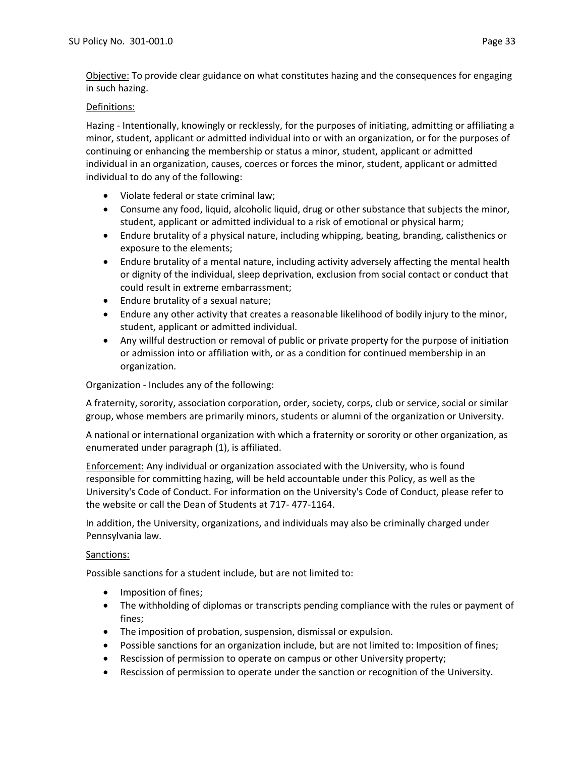Objective: To provide clear guidance on what constitutes hazing and the consequences for engaging in such hazing.

# Definitions:

Hazing - Intentionally, knowingly or recklessly, for the purposes of initiating, admitting or affiliating a minor, student, applicant or admitted individual into or with an organization, or for the purposes of continuing or enhancing the membership or status a minor, student, applicant or admitted individual in an organization, causes, coerces or forces the minor, student, applicant or admitted individual to do any of the following:

- Violate federal or state criminal law;
- Consume any food, liquid, alcoholic liquid, drug or other substance that subjects the minor, student, applicant or admitted individual to a risk of emotional or physical harm;
- Endure brutality of a physical nature, including whipping, beating, branding, calisthenics or exposure to the elements;
- Endure brutality of a mental nature, including activity adversely affecting the mental health or dignity of the individual, sleep deprivation, exclusion from social contact or conduct that could result in extreme embarrassment;
- Endure brutality of a sexual nature;
- Endure any other activity that creates a reasonable likelihood of bodily injury to the minor, student, applicant or admitted individual.
- Any willful destruction or removal of public or private property for the purpose of initiation or admission into or affiliation with, or as a condition for continued membership in an organization.

Organization - Includes any of the following:

A fraternity, sorority, association corporation, order, society, corps, club or service, social or similar group, whose members are primarily minors, students or alumni of the organization or University.

A national or international organization with which a fraternity or sorority or other organization, as enumerated under paragraph (1), is affiliated.

Enforcement: Any individual or organization associated with the University, who is found responsible for committing hazing, will be held accountable under this Policy, as well as the University's Code of Conduct. For information on the University's Code of Conduct, please refer to the website or call the Dean of Students at 717- 477-1164.

In addition, the University, organizations, and individuals may also be criminally charged under Pennsylvania law.

# Sanctions:

Possible sanctions for a student include, but are not limited to:

- Imposition of fines;
- The withholding of diplomas or transcripts pending compliance with the rules or payment of fines;
- The imposition of probation, suspension, dismissal or expulsion.
- Possible sanctions for an organization include, but are not limited to: Imposition of fines;
- Rescission of permission to operate on campus or other University property;
- Rescission of permission to operate under the sanction or recognition of the University.